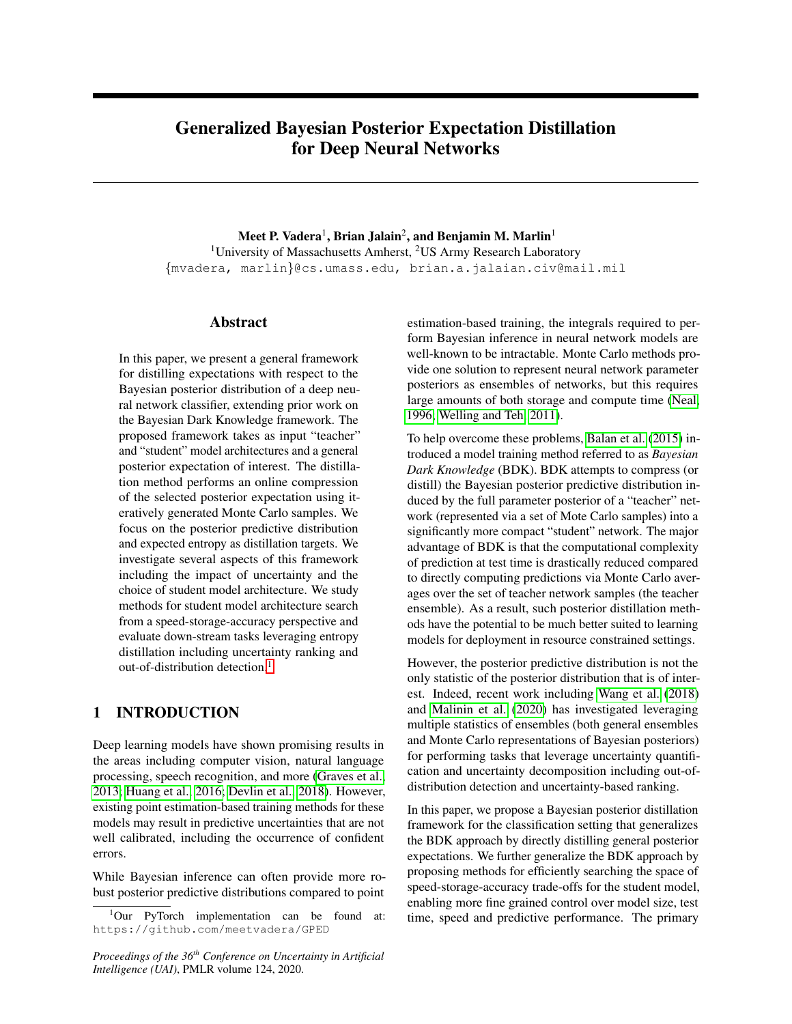# Generalized Bayesian Posterior Expectation Distillation for Deep Neural Networks

Meet P. Vadera $^{\rm l}$ , Brian Jalain $^{\rm 2}$ , and Benjamin M. Marlin $^{\rm l}$ <sup>1</sup>University of Massachusetts Amherst, <sup>2</sup>US Army Research Laboratory {mvadera, marlin}@cs.umass.edu, brian.a.jalaian.civ@mail.mil

### Abstract

In this paper, we present a general framework for distilling expectations with respect to the Bayesian posterior distribution of a deep neural network classifier, extending prior work on the Bayesian Dark Knowledge framework. The proposed framework takes as input "teacher" and "student" model architectures and a general posterior expectation of interest. The distillation method performs an online compression of the selected posterior expectation using iteratively generated Monte Carlo samples. We focus on the posterior predictive distribution and expected entropy as distillation targets. We investigate several aspects of this framework including the impact of uncertainty and the choice of student model architecture. We study methods for student model architecture search from a speed-storage-accuracy perspective and evaluate down-stream tasks leveraging entropy distillation including uncertainty ranking and out-of-distribution detection.<sup>[1](#page-0-0)</sup>

# 1 INTRODUCTION

Deep learning models have shown promising results in the areas including computer vision, natural language processing, speech recognition, and more [\(Graves et al.,](#page-9-0) [2013;](#page-9-0) [Huang et al., 2016;](#page-9-1) [Devlin et al., 2018\)](#page-9-2). However, existing point estimation-based training methods for these models may result in predictive uncertainties that are not well calibrated, including the occurrence of confident errors.

While Bayesian inference can often provide more robust posterior predictive distributions compared to point

*Proceedings of the 36th Conference on Uncertainty in Artificial Intelligence (UAI)*, PMLR volume 124, 2020.

estimation-based training, the integrals required to perform Bayesian inference in neural network models are well-known to be intractable. Monte Carlo methods provide one solution to represent neural network parameter posteriors as ensembles of networks, but this requires large amounts of both storage and compute time [\(Neal,](#page-9-3) [1996;](#page-9-3) [Welling and Teh, 2011\)](#page-9-4).

To help overcome these problems, [Balan et al.](#page-9-5) [\(2015\)](#page-9-5) introduced a model training method referred to as *Bayesian Dark Knowledge* (BDK). BDK attempts to compress (or distill) the Bayesian posterior predictive distribution induced by the full parameter posterior of a "teacher" network (represented via a set of Mote Carlo samples) into a significantly more compact "student" network. The major advantage of BDK is that the computational complexity of prediction at test time is drastically reduced compared to directly computing predictions via Monte Carlo averages over the set of teacher network samples (the teacher ensemble). As a result, such posterior distillation methods have the potential to be much better suited to learning models for deployment in resource constrained settings.

However, the posterior predictive distribution is not the only statistic of the posterior distribution that is of interest. Indeed, recent work including [Wang et al.](#page-9-6) [\(2018\)](#page-9-6) and [Malinin et al.](#page-9-7) [\(2020\)](#page-9-7) has investigated leveraging multiple statistics of ensembles (both general ensembles and Monte Carlo representations of Bayesian posteriors) for performing tasks that leverage uncertainty quantification and uncertainty decomposition including out-ofdistribution detection and uncertainty-based ranking.

In this paper, we propose a Bayesian posterior distillation framework for the classification setting that generalizes the BDK approach by directly distilling general posterior expectations. We further generalize the BDK approach by proposing methods for efficiently searching the space of speed-storage-accuracy trade-offs for the student model, enabling more fine grained control over model size, test time, speed and predictive performance. The primary

<span id="page-0-0"></span><sup>1</sup>Our PyTorch implementation can be found at: https://github.com/meetvadera/GPED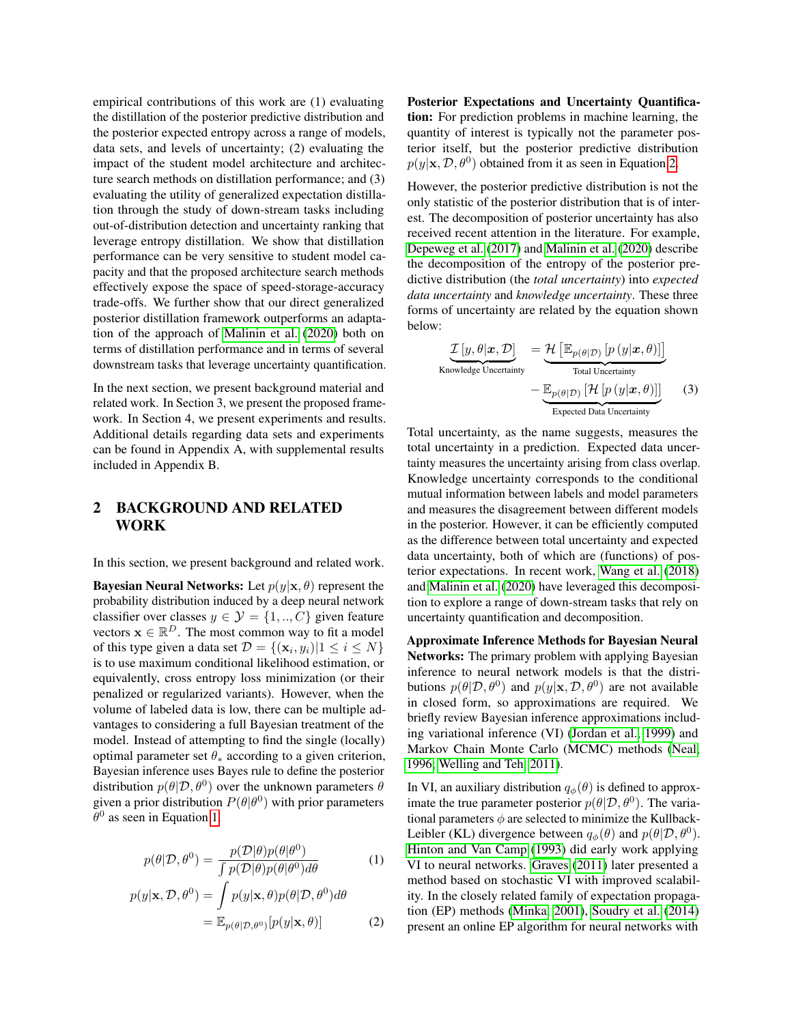empirical contributions of this work are (1) evaluating the distillation of the posterior predictive distribution and the posterior expected entropy across a range of models, data sets, and levels of uncertainty; (2) evaluating the impact of the student model architecture and architecture search methods on distillation performance; and (3) evaluating the utility of generalized expectation distillation through the study of down-stream tasks including out-of-distribution detection and uncertainty ranking that leverage entropy distillation. We show that distillation performance can be very sensitive to student model capacity and that the proposed architecture search methods effectively expose the space of speed-storage-accuracy trade-offs. We further show that our direct generalized posterior distillation framework outperforms an adaptation of the approach of [Malinin et al.](#page-9-7) [\(2020\)](#page-9-7) both on terms of distillation performance and in terms of several downstream tasks that leverage uncertainty quantification.

In the next section, we present background material and related work. In Section 3, we present the proposed framework. In Section 4, we present experiments and results. Additional details regarding data sets and experiments can be found in Appendix A, with supplemental results included in Appendix B.

# 2 BACKGROUND AND RELATED WORK

In this section, we present background and related work.

**Bayesian Neural Networks:** Let  $p(y|\mathbf{x}, \theta)$  represent the probability distribution induced by a deep neural network classifier over classes  $y \in \mathcal{Y} = \{1, ..., C\}$  given feature vectors  $\mathbf{x} \in \mathbb{R}^D$ . The most common way to fit a model of this type given a data set  $\mathcal{D} = \{(\mathbf{x}_i, y_i) | 1 \le i \le N\}$ is to use maximum conditional likelihood estimation, or equivalently, cross entropy loss minimization (or their penalized or regularized variants). However, when the volume of labeled data is low, there can be multiple advantages to considering a full Bayesian treatment of the model. Instead of attempting to find the single (locally) optimal parameter set  $\theta_*$  according to a given criterion, Bayesian inference uses Bayes rule to define the posterior distribution  $p(\theta|\mathcal{D}, \theta^0)$  over the unknown parameters  $\theta$ given a prior distribution  $P(\theta|\theta^0)$  with prior parameters  $\theta^0$  as seen in Equation [1.](#page-1-0)

$$
p(\theta|\mathcal{D}, \theta^0) = \frac{p(\mathcal{D}|\theta)p(\theta|\theta^0)}{\int p(\mathcal{D}|\theta)p(\theta|\theta^0)d\theta}
$$
 (1)

$$
p(y|\mathbf{x}, \mathcal{D}, \theta^0) = \int p(y|\mathbf{x}, \theta) p(\theta | \mathcal{D}, \theta^0) d\theta
$$
  
= 
$$
\mathbb{E}_{p(\theta | \mathcal{D}, \theta^0)}[p(y|\mathbf{x}, \theta)]
$$
 (2)

Posterior Expectations and Uncertainty Quantification: For prediction problems in machine learning, the quantity of interest is typically not the parameter posterior itself, but the posterior predictive distribution  $p(y|\mathbf{x}, \mathcal{D}, \theta^0)$  obtained from it as seen in Equation [2.](#page-1-1)

However, the posterior predictive distribution is not the only statistic of the posterior distribution that is of interest. The decomposition of posterior uncertainty has also received recent attention in the literature. For example, [Depeweg et al.](#page-9-8) [\(2017\)](#page-9-8) and [Malinin et al.](#page-9-7) [\(2020\)](#page-9-7) describe the decomposition of the entropy of the posterior predictive distribution (the *total uncertainty*) into *expected data uncertainty* and *knowledge uncertainty*. These three forms of uncertainty are related by the equation shown below:

$$
\underbrace{\mathcal{I}\left[y,\theta|\boldsymbol{x},\mathcal{D}\right]}_{\text{Knowledge Uncertainty}} = \underbrace{\mathcal{H}\left[\mathbb{E}_{p(\theta|\mathcal{D})}\left[p\left(y|\boldsymbol{x},\theta\right)\right]\right]}_{\text{Total Uncertainty}}
$$
\n
$$
-\underbrace{\mathbb{E}_{p(\theta|\mathcal{D})}\left[\mathcal{H}\left[p\left(y|\boldsymbol{x},\theta\right)\right]\right]}_{\text{Expected Data Uncertainty}}
$$
\n(3)

Total uncertainty, as the name suggests, measures the total uncertainty in a prediction. Expected data uncertainty measures the uncertainty arising from class overlap. Knowledge uncertainty corresponds to the conditional mutual information between labels and model parameters and measures the disagreement between different models in the posterior. However, it can be efficiently computed as the difference between total uncertainty and expected data uncertainty, both of which are (functions) of posterior expectations. In recent work, [Wang et al.](#page-9-6) [\(2018\)](#page-9-6) and [Malinin et al.](#page-9-7) [\(2020\)](#page-9-7) have leveraged this decomposition to explore a range of down-stream tasks that rely on uncertainty quantification and decomposition.

Approximate Inference Methods for Bayesian Neural Networks: The primary problem with applying Bayesian inference to neural network models is that the distributions  $p(\theta|\mathcal{D}, \theta^0)$  and  $p(y|\mathbf{x}, \mathcal{D}, \theta^0)$  are not available in closed form, so approximations are required. We briefly review Bayesian inference approximations including variational inference (VI) [\(Jordan et al., 1999\)](#page-9-9) and Markov Chain Monte Carlo (MCMC) methods [\(Neal,](#page-9-3) [1996;](#page-9-3) [Welling and Teh, 2011\)](#page-9-4).

<span id="page-1-1"></span><span id="page-1-0"></span>In VI, an auxiliary distribution  $q_{\phi}(\theta)$  is defined to approximate the true parameter posterior  $p(\theta|\mathcal{D}, \theta^0)$ . The variational parameters  $\phi$  are selected to minimize the Kullback-Leibler (KL) divergence between  $q_{\phi}(\theta)$  and  $p(\theta|\mathcal{D}, \theta^0)$ . [Hinton and Van Camp](#page-9-10) [\(1993\)](#page-9-10) did early work applying VI to neural networks. [Graves](#page-9-11) [\(2011\)](#page-9-11) later presented a method based on stochastic VI with improved scalability. In the closely related family of expectation propagation (EP) methods [\(Minka, 2001\)](#page-9-12), [Soudry et al.](#page-9-13) [\(2014\)](#page-9-13) present an online EP algorithm for neural networks with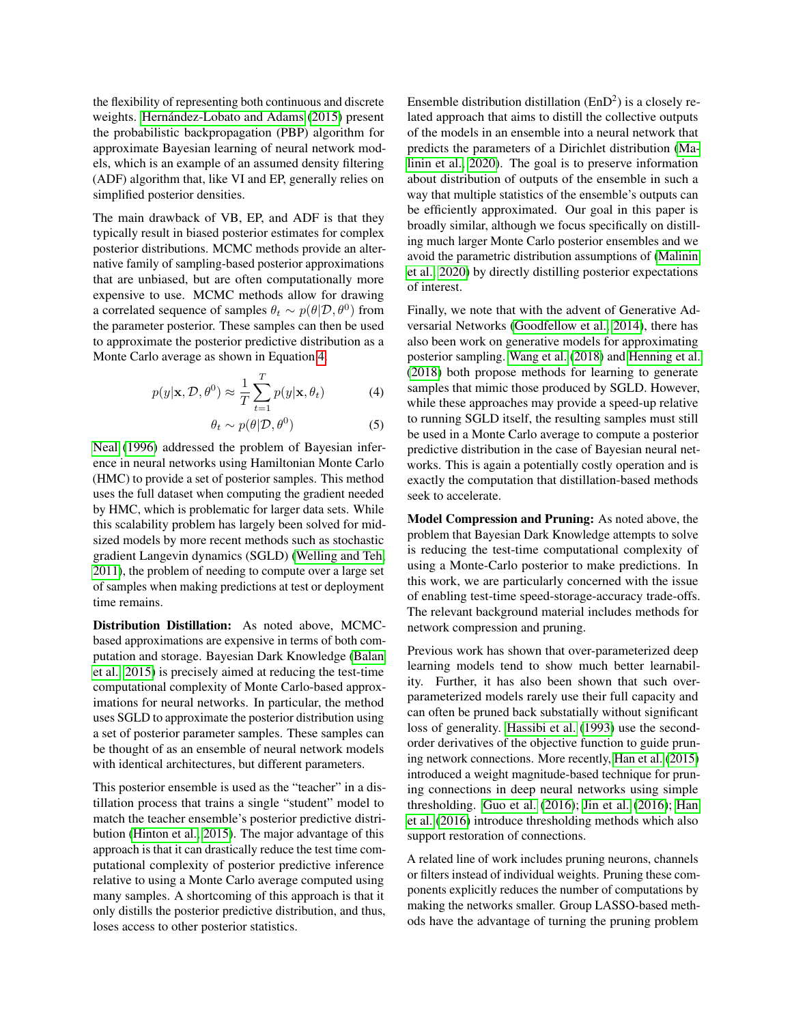the flexibility of representing both continuous and discrete weights. Hernández-Lobato and Adams [\(2015\)](#page-9-14) present the probabilistic backpropagation (PBP) algorithm for approximate Bayesian learning of neural network models, which is an example of an assumed density filtering (ADF) algorithm that, like VI and EP, generally relies on simplified posterior densities.

The main drawback of VB, EP, and ADF is that they typically result in biased posterior estimates for complex posterior distributions. MCMC methods provide an alternative family of sampling-based posterior approximations that are unbiased, but are often computationally more expensive to use. MCMC methods allow for drawing a correlated sequence of samples  $\theta_t \sim p(\theta|\mathcal{D}, \theta^0)$  from the parameter posterior. These samples can then be used to approximate the posterior predictive distribution as a Monte Carlo average as shown in Equation [4.](#page-2-0)

$$
p(y|\mathbf{x}, \mathcal{D}, \theta^0) \approx \frac{1}{T} \sum_{t=1}^T p(y|\mathbf{x}, \theta_t)
$$
 (4)

$$
\theta_t \sim p(\theta | \mathcal{D}, \theta^0) \tag{5}
$$

[Neal](#page-9-3) [\(1996\)](#page-9-3) addressed the problem of Bayesian inference in neural networks using Hamiltonian Monte Carlo (HMC) to provide a set of posterior samples. This method uses the full dataset when computing the gradient needed by HMC, which is problematic for larger data sets. While this scalability problem has largely been solved for midsized models by more recent methods such as stochastic gradient Langevin dynamics (SGLD) [\(Welling and Teh,](#page-9-4) [2011\)](#page-9-4), the problem of needing to compute over a large set of samples when making predictions at test or deployment time remains.

Distribution Distillation: As noted above, MCMCbased approximations are expensive in terms of both computation and storage. Bayesian Dark Knowledge [\(Balan](#page-9-5) [et al., 2015\)](#page-9-5) is precisely aimed at reducing the test-time computational complexity of Monte Carlo-based approximations for neural networks. In particular, the method uses SGLD to approximate the posterior distribution using a set of posterior parameter samples. These samples can be thought of as an ensemble of neural network models with identical architectures, but different parameters.

This posterior ensemble is used as the "teacher" in a distillation process that trains a single "student" model to match the teacher ensemble's posterior predictive distribution [\(Hinton et al., 2015\)](#page-9-15). The major advantage of this approach is that it can drastically reduce the test time computational complexity of posterior predictive inference relative to using a Monte Carlo average computed using many samples. A shortcoming of this approach is that it only distills the posterior predictive distribution, and thus, loses access to other posterior statistics.

Ensemble distribution distillation  $(EnD<sup>2</sup>)$  is a closely related approach that aims to distill the collective outputs of the models in an ensemble into a neural network that predicts the parameters of a Dirichlet distribution [\(Ma](#page-9-7)[linin et al., 2020\)](#page-9-7). The goal is to preserve information about distribution of outputs of the ensemble in such a way that multiple statistics of the ensemble's outputs can be efficiently approximated. Our goal in this paper is broadly similar, although we focus specifically on distilling much larger Monte Carlo posterior ensembles and we avoid the parametric distribution assumptions of [\(Malinin](#page-9-7) [et al., 2020\)](#page-9-7) by directly distilling posterior expectations of interest.

<span id="page-2-0"></span>Finally, we note that with the advent of Generative Adversarial Networks [\(Goodfellow et al., 2014\)](#page-9-16), there has also been work on generative models for approximating posterior sampling. [Wang et al.](#page-9-6) [\(2018\)](#page-9-6) and [Henning et al.](#page-9-17) [\(2018\)](#page-9-17) both propose methods for learning to generate samples that mimic those produced by SGLD. However, while these approaches may provide a speed-up relative to running SGLD itself, the resulting samples must still be used in a Monte Carlo average to compute a posterior predictive distribution in the case of Bayesian neural networks. This is again a potentially costly operation and is exactly the computation that distillation-based methods seek to accelerate.

Model Compression and Pruning: As noted above, the problem that Bayesian Dark Knowledge attempts to solve is reducing the test-time computational complexity of using a Monte-Carlo posterior to make predictions. In this work, we are particularly concerned with the issue of enabling test-time speed-storage-accuracy trade-offs. The relevant background material includes methods for network compression and pruning.

Previous work has shown that over-parameterized deep learning models tend to show much better learnability. Further, it has also been shown that such overparameterized models rarely use their full capacity and can often be pruned back substatially without significant loss of generality. [Hassibi et al.](#page-9-18) [\(1993\)](#page-9-18) use the secondorder derivatives of the objective function to guide pruning network connections. More recently, [Han et al.](#page-9-19) [\(2015\)](#page-9-19) introduced a weight magnitude-based technique for pruning connections in deep neural networks using simple thresholding. [Guo et al.](#page-9-20) [\(2016\)](#page-9-20); [Jin et al.](#page-9-21) [\(2016\)](#page-9-21); [Han](#page-9-22) [et al.](#page-9-22) [\(2016\)](#page-9-22) introduce thresholding methods which also support restoration of connections.

A related line of work includes pruning neurons, channels or filters instead of individual weights. Pruning these components explicitly reduces the number of computations by making the networks smaller. Group LASSO-based methods have the advantage of turning the pruning problem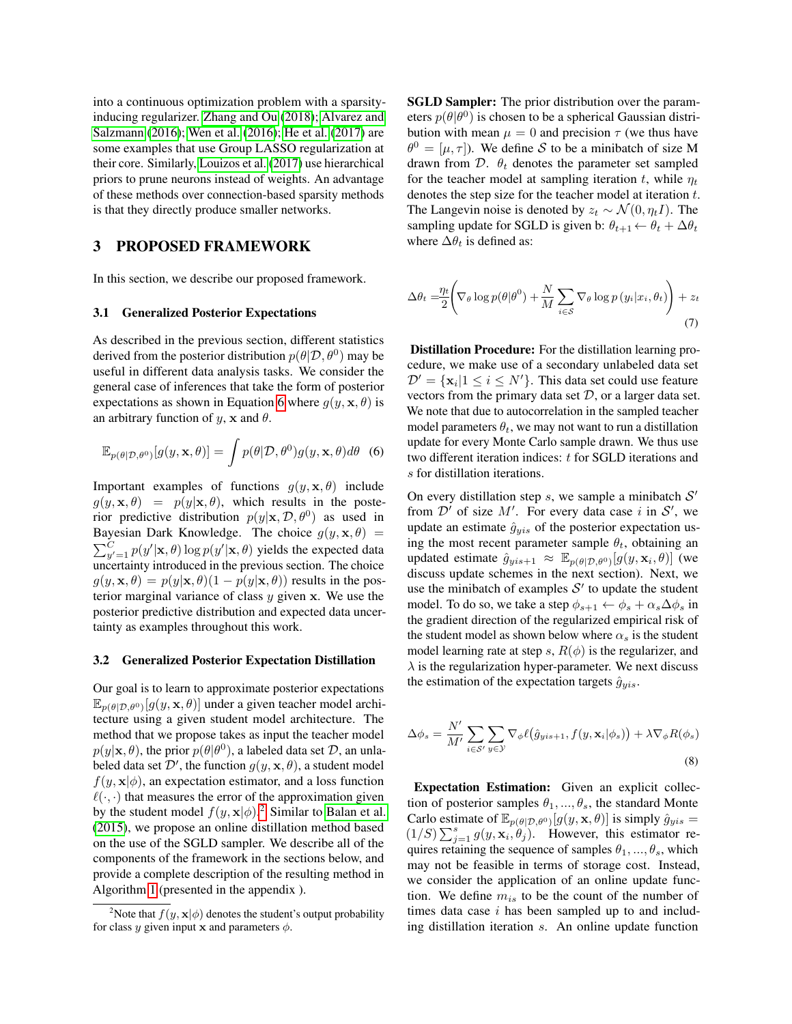into a continuous optimization problem with a sparsityinducing regularizer. [Zhang and Ou](#page-9-23) [\(2018\)](#page-9-23); [Alvarez and](#page-9-24) [Salzmann](#page-9-24) [\(2016\)](#page-9-24); [Wen et al.](#page-9-25) [\(2016\)](#page-9-25); [He et al.](#page-9-26) [\(2017\)](#page-9-26) are some examples that use Group LASSO regularization at their core. Similarly, [Louizos et al.](#page-9-27) [\(2017\)](#page-9-27) use hierarchical priors to prune neurons instead of weights. An advantage of these methods over connection-based sparsity methods is that they directly produce smaller networks.

## 3 PROPOSED FRAMEWORK

In this section, we describe our proposed framework.

#### 3.1 Generalized Posterior Expectations

As described in the previous section, different statistics derived from the posterior distribution  $p(\theta|\mathcal{D}, \theta^0)$  may be useful in different data analysis tasks. We consider the general case of inferences that take the form of posterior expectations as shown in Equation [6](#page-3-0) where  $q(y, \mathbf{x}, \theta)$  is an arbitrary function of  $y$ ,  $x$  and  $\theta$ .

$$
\mathbb{E}_{p(\theta|\mathcal{D},\theta^0)}[g(y,\mathbf{x},\theta)] = \int p(\theta|\mathcal{D},\theta^0)g(y,\mathbf{x},\theta)d\theta
$$
 (6)

Important examples of functions  $g(y, \mathbf{x}, \theta)$  include  $g(y, \mathbf{x}, \theta) = p(y|\mathbf{x}, \theta)$ , which results in the posterior predictive distribution  $p(y|\mathbf{x}, \mathcal{D}, \theta^0)$  as used in Bayesian Dark Knowledge. The choice  $g(y, \mathbf{x}, \theta)$  =  $\sum_{y'=1}^{C} p(y'|\mathbf{x}, \theta) \log p(y'|\mathbf{x}, \theta)$  yields the expected data uncertainty introduced in the previous section. The choice  $g(y, \mathbf{x}, \theta) = p(y|\mathbf{x}, \theta)(1 - p(y|\mathbf{x}, \theta))$  results in the posterior marginal variance of class  $y$  given  $x$ . We use the posterior predictive distribution and expected data uncertainty as examples throughout this work.

#### 3.2 Generalized Posterior Expectation Distillation

Our goal is to learn to approximate posterior expectations  $\mathbb{E}_{p(\theta|\mathcal{D},\theta^0)}[g(y,\mathbf{x},\theta)]$  under a given teacher model architecture using a given student model architecture. The method that we propose takes as input the teacher model  $p(y|\mathbf{x}, \theta)$ , the prior  $p(\theta | \theta^0)$ , a labeled data set  $\mathcal{D}$ , an unlabeled data set  $\mathcal{D}'$ , the function  $g(y, \mathbf{x}, \theta)$ , a student model  $f(y, \mathbf{x}|\phi)$ , an expectation estimator, and a loss function  $\ell(\cdot, \cdot)$  that measures the error of the approximation given by the student model  $f(y, \mathbf{x}|\phi)$ .<sup>[2](#page-3-1)</sup> Similar to [Balan et al.](#page-9-5) [\(2015\)](#page-9-5), we propose an online distillation method based on the use of the SGLD sampler. We describe all of the components of the framework in the sections below, and provide a complete description of the resulting method in Algorithm [1](#page-10-0) (presented in the appendix ).

SGLD Sampler: The prior distribution over the parameters  $p(\theta|\theta^0)$  is chosen to be a spherical Gaussian distribution with mean  $\mu = 0$  and precision  $\tau$  (we thus have  $\theta^0 = [\mu, \tau]$ ). We define S to be a minibatch of size M drawn from  $D.$   $\theta_t$  denotes the parameter set sampled for the teacher model at sampling iteration t, while  $\eta_t$ denotes the step size for the teacher model at iteration t. The Langevin noise is denoted by  $z_t \sim \mathcal{N}(0, \eta_t I)$ . The sampling update for SGLD is given b:  $\theta_{t+1} \leftarrow \theta_t + \Delta \theta_t$ where  $\Delta\theta_t$  is defined as:

$$
\Delta \theta_t = \frac{\eta_t}{2} \left( \nabla_{\theta} \log p(\theta | \theta^0) + \frac{N}{M} \sum_{i \in \mathcal{S}} \nabla_{\theta} \log p(y_i | x_i, \theta_t) \right) + z_t
$$
\n(7)

Distillation Procedure: For the distillation learning procedure, we make use of a secondary unlabeled data set  $\mathcal{D}' = {\mathbf{x}_i | 1 \le i \le N'}$ . This data set could use feature vectors from the primary data set  $D$ , or a larger data set. We note that due to autocorrelation in the sampled teacher model parameters  $\theta_t$ , we may not want to run a distillation update for every Monte Carlo sample drawn. We thus use two different iteration indices: t for SGLD iterations and s for distillation iterations.

<span id="page-3-0"></span>On every distillation step  $s$ , we sample a minibatch  $S'$ from  $\mathcal{D}'$  of size  $M'$ . For every data case i in  $\mathcal{S}'$ , we update an estimate  $\hat{g}_{vis}$  of the posterior expectation using the most recent parameter sample  $\theta_t$ , obtaining an updated estimate  $\hat{g}_{yis+1} \approx \mathbb{E}_{p(\theta|\mathcal{D},\theta^0)}[g(y,\mathbf{x}_i,\theta)]$  (we discuss update schemes in the next section). Next, we use the minibatch of examples  $S'$  to update the student model. To do so, we take a step  $\phi_{s+1} \leftarrow \phi_s + \alpha_s \Delta \phi_s$  in the gradient direction of the regularized empirical risk of the student model as shown below where  $\alpha_s$  is the student model learning rate at step s,  $R(\phi)$  is the regularizer, and  $\lambda$  is the regularization hyper-parameter. We next discuss the estimation of the expectation targets  $\hat{g}_{yis}$ .

$$
\Delta \phi_s = \frac{N'}{M'} \sum_{i \in \mathcal{S}'} \sum_{y \in \mathcal{Y}} \nabla_{\phi} \ell(\hat{g}_{yis+1}, f(y, \mathbf{x}_i | \phi_s)) + \lambda \nabla_{\phi} R(\phi_s)
$$
\n(8)

Expectation Estimation: Given an explicit collection of posterior samples  $\theta_1, ..., \theta_s$ , the standard Monte Carlo estimate of  $\mathbb{E}_{p(\theta|\mathcal{D},\theta^0)}[g(y,\mathbf{x},\theta)]$  is simply  $\hat{g}_{yis}$  =  $(1/S)\sum_{j=1}^{s} g(y, \mathbf{x}_i, \theta_j)$ . However, this estimator requires retaining the sequence of samples  $\theta_1, ..., \theta_s$ , which may not be feasible in terms of storage cost. Instead, we consider the application of an online update function. We define  $m_{is}$  to be the count of the number of times data case  $i$  has been sampled up to and including distillation iteration s. An online update function

<span id="page-3-1"></span><sup>&</sup>lt;sup>2</sup>Note that  $f(y, \mathbf{x}|\phi)$  denotes the student's output probability for class y given input x and parameters  $\phi$ .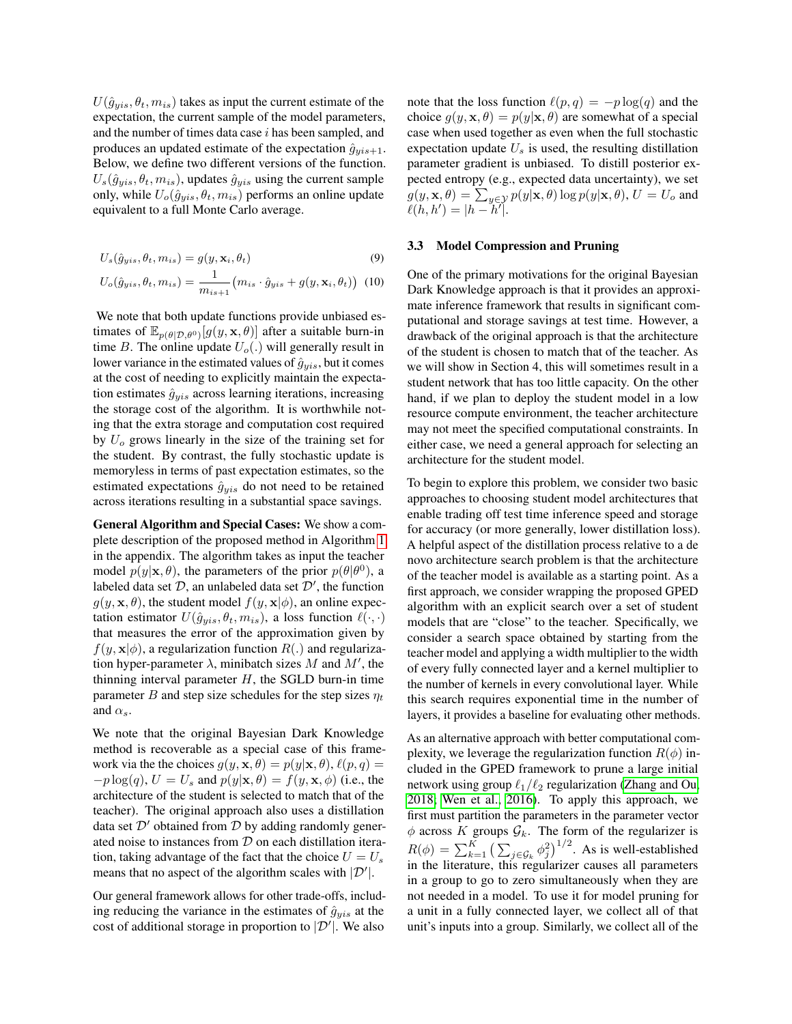$U(\hat{g}_{vis}, \theta_t, m_{is})$  takes as input the current estimate of the expectation, the current sample of the model parameters, and the number of times data case  $i$  has been sampled, and produces an updated estimate of the expectation  $\hat{g}_{yis+1}$ . Below, we define two different versions of the function.  $U_s(\hat{g}_{uis}, \theta_t, m_{is})$ , updates  $\hat{g}_{vis}$  using the current sample only, while  $U_o(\hat{g}_{yis}, \theta_t, m_{is})$  performs an online update equivalent to a full Monte Carlo average.

$$
U_s(\hat{g}_{yis}, \theta_t, m_{is}) = g(y, \mathbf{x}_i, \theta_t)
$$
\n(9)

$$
U_o(\hat{g}_{yis}, \theta_t, m_{is}) = \frac{1}{m_{is+1}} (m_{is} \cdot \hat{g}_{yis} + g(y, \mathbf{x}_i, \theta_t))
$$
 (10)

We note that both update functions provide unbiased estimates of  $\mathbb{E}_{p(\theta|\mathcal{D},\theta^0)}[g(y,\mathbf{x},\theta)]$  after a suitable burn-in time B. The online update  $U_o(.)$  will generally result in lower variance in the estimated values of  $\hat{g}_{yis}$ , but it comes at the cost of needing to explicitly maintain the expectation estimates  $\hat{g}_{yis}$  across learning iterations, increasing the storage cost of the algorithm. It is worthwhile noting that the extra storage and computation cost required by  $U<sub>o</sub>$  grows linearly in the size of the training set for the student. By contrast, the fully stochastic update is memoryless in terms of past expectation estimates, so the estimated expectations  $\hat{g}_{yis}$  do not need to be retained across iterations resulting in a substantial space savings.

General Algorithm and Special Cases: We show a complete description of the proposed method in Algorithm [1](#page-10-0) in the appendix. The algorithm takes as input the teacher model  $p(y|\mathbf{x}, \theta)$ , the parameters of the prior  $p(\theta | \theta^0)$ , a labeled data set  $\mathcal{D}$ , an unlabeled data set  $\mathcal{D}'$ , the function  $g(y, \mathbf{x}, \theta)$ , the student model  $f(y, \mathbf{x}|\phi)$ , an online expectation estimator  $U(\hat{g}_{yis}, \theta_t, m_{is})$ , a loss function  $\ell(\cdot, \cdot)$ that measures the error of the approximation given by  $f(y, \mathbf{x}|\phi)$ , a regularization function  $R(.)$  and regularization hyper-parameter  $\lambda$ , minibatch sizes M and M', the thinning interval parameter  $H$ , the SGLD burn-in time parameter B and step size schedules for the step sizes  $\eta_t$ and  $\alpha_s$ .

We note that the original Bayesian Dark Knowledge method is recoverable as a special case of this framework via the the choices  $g(y, \mathbf{x}, \theta) = p(y|\mathbf{x}, \theta), \ell(p, q) =$  $-p \log(q)$ ,  $U = U_s$  and  $p(y|\mathbf{x}, \theta) = f(y, \mathbf{x}, \phi)$  (i.e., the architecture of the student is selected to match that of the teacher). The original approach also uses a distillation data set  $\mathcal{D}'$  obtained from  $\mathcal D$  by adding randomly generated noise to instances from  $D$  on each distillation iteration, taking advantage of the fact that the choice  $U = U_s$ means that no aspect of the algorithm scales with  $|\mathcal{D}'|$ .

Our general framework allows for other trade-offs, including reducing the variance in the estimates of  $\hat{g}_{vis}$  at the cost of additional storage in proportion to  $|\mathcal{D}'|$ . We also

note that the loss function  $\ell(p, q) = -p \log(q)$  and the choice  $g(y, \mathbf{x}, \theta) = p(y|\mathbf{x}, \theta)$  are somewhat of a special case when used together as even when the full stochastic expectation update  $U_s$  is used, the resulting distillation parameter gradient is unbiased. To distill posterior expected entropy (e.g., expected data uncertainty), we set  $g(y, \mathbf{x}, \theta) = \sum_{y \in \mathcal{Y}} p(y|\mathbf{x}, \theta) \log p(y|\mathbf{x}, \theta), U = U_o$  and  $\ell(h, h') = |h - h'\|.$ 

#### 3.3 Model Compression and Pruning

One of the primary motivations for the original Bayesian Dark Knowledge approach is that it provides an approximate inference framework that results in significant computational and storage savings at test time. However, a drawback of the original approach is that the architecture of the student is chosen to match that of the teacher. As we will show in Section 4, this will sometimes result in a student network that has too little capacity. On the other hand, if we plan to deploy the student model in a low resource compute environment, the teacher architecture may not meet the specified computational constraints. In either case, we need a general approach for selecting an architecture for the student model.

To begin to explore this problem, we consider two basic approaches to choosing student model architectures that enable trading off test time inference speed and storage for accuracy (or more generally, lower distillation loss). A helpful aspect of the distillation process relative to a de novo architecture search problem is that the architecture of the teacher model is available as a starting point. As a first approach, we consider wrapping the proposed GPED algorithm with an explicit search over a set of student models that are "close" to the teacher. Specifically, we consider a search space obtained by starting from the teacher model and applying a width multiplier to the width of every fully connected layer and a kernel multiplier to the number of kernels in every convolutional layer. While this search requires exponential time in the number of layers, it provides a baseline for evaluating other methods.

As an alternative approach with better computational complexity, we leverage the regularization function  $R(\phi)$  included in the GPED framework to prune a large initial network using group  $\ell_1/\ell_2$  regularization [\(Zhang and Ou,](#page-9-23) [2018;](#page-9-23) [Wen et al., 2016\)](#page-9-25). To apply this approach, we first must partition the parameters in the parameter vector  $\phi$  across K groups  $\mathcal{G}_k$ . The form of the regularizer is  $R(\phi) = \sum_{k=1}^{K} \left( \sum_{j \in \mathcal{G}_k} \phi_j^2 \right)^{1/2}$ . As is well-established in the literature, this regularizer causes all parameters in a group to go to zero simultaneously when they are not needed in a model. To use it for model pruning for a unit in a fully connected layer, we collect all of that unit's inputs into a group. Similarly, we collect all of the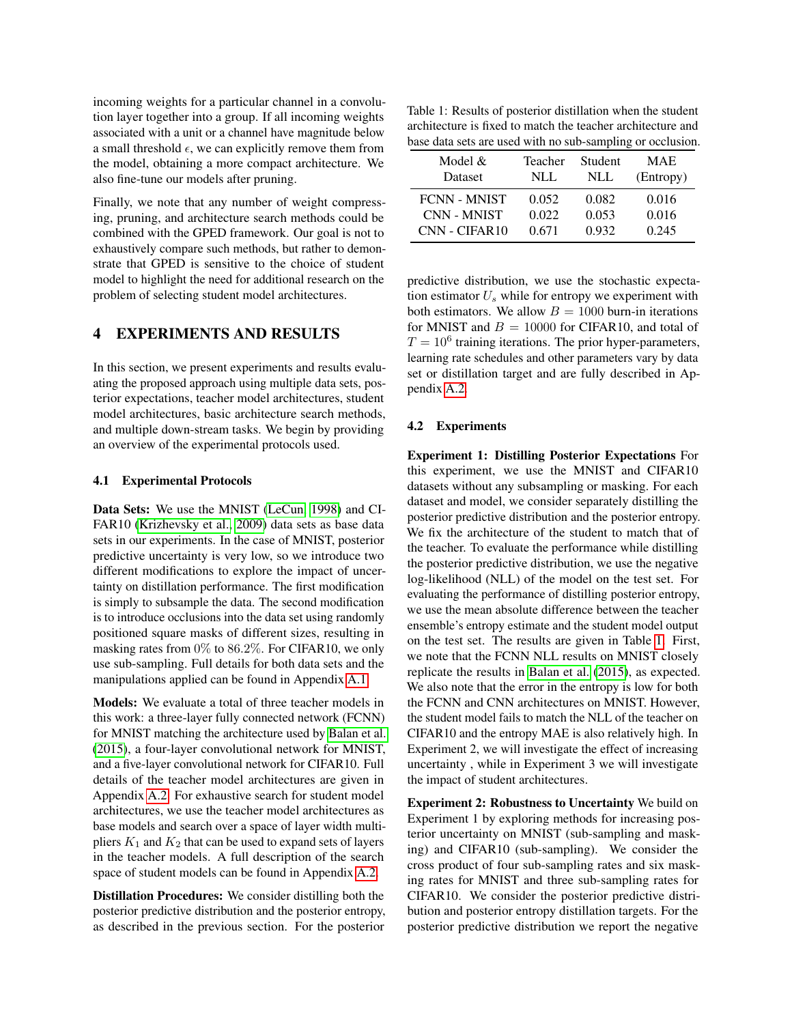incoming weights for a particular channel in a convolution layer together into a group. If all incoming weights associated with a unit or a channel have magnitude below a small threshold  $\epsilon$ , we can explicitly remove them from the model, obtaining a more compact architecture. We also fine-tune our models after pruning.

Finally, we note that any number of weight compressing, pruning, and architecture search methods could be combined with the GPED framework. Our goal is not to exhaustively compare such methods, but rather to demonstrate that GPED is sensitive to the choice of student model to highlight the need for additional research on the problem of selecting student model architectures.

# 4 EXPERIMENTS AND RESULTS

In this section, we present experiments and results evaluating the proposed approach using multiple data sets, posterior expectations, teacher model architectures, student model architectures, basic architecture search methods, and multiple down-stream tasks. We begin by providing an overview of the experimental protocols used.

#### 4.1 Experimental Protocols

Data Sets: We use the MNIST [\(LeCun, 1998\)](#page-9-28) and CI-FAR10 [\(Krizhevsky et al., 2009\)](#page-9-29) data sets as base data sets in our experiments. In the case of MNIST, posterior predictive uncertainty is very low, so we introduce two different modifications to explore the impact of uncertainty on distillation performance. The first modification is simply to subsample the data. The second modification is to introduce occlusions into the data set using randomly positioned square masks of different sizes, resulting in masking rates from 0% to 86.2%. For CIFAR10, we only use sub-sampling. Full details for both data sets and the manipulations applied can be found in Appendix [A.1.](#page-10-1)

Models: We evaluate a total of three teacher models in this work: a three-layer fully connected network (FCNN) for MNIST matching the architecture used by [Balan et al.](#page-9-5) [\(2015\)](#page-9-5), a four-layer convolutional network for MNIST, and a five-layer convolutional network for CIFAR10. Full details of the teacher model architectures are given in Appendix [A.2.](#page-11-0) For exhaustive search for student model architectures, we use the teacher model architectures as base models and search over a space of layer width multipliers  $K_1$  and  $K_2$  that can be used to expand sets of layers in the teacher models. A full description of the search space of student models can be found in Appendix [A.2.](#page-11-0)

Distillation Procedures: We consider distilling both the posterior predictive distribution and the posterior entropy, as described in the previous section. For the posterior

<span id="page-5-0"></span>Table 1: Results of posterior distillation when the student architecture is fixed to match the teacher architecture and base data sets are used with no sub-sampling or occlusion.

| Model $&$           | Teacher | <b>Student</b> | <b>MAE</b> |
|---------------------|---------|----------------|------------|
| Dataset             | NLL.    | NLL            | (Entropy)  |
| <b>FCNN - MNIST</b> | 0.052   | 0.082          | 0.016      |
| <b>CNN - MNIST</b>  | 0.022   | 0.053          | 0.016      |
| CNN - CIFAR10       | 0.671   | 0.932          | 0.245      |

predictive distribution, we use the stochastic expectation estimator  $U_s$  while for entropy we experiment with both estimators. We allow  $B = 1000$  burn-in iterations for MNIST and  $B = 10000$  for CIFAR10, and total of  $T = 10<sup>6</sup>$  training iterations. The prior hyper-parameters, learning rate schedules and other parameters vary by data set or distillation target and are fully described in Appendix [A.2.](#page-11-0)

#### 4.2 Experiments

Experiment 1: Distilling Posterior Expectations For this experiment, we use the MNIST and CIFAR10 datasets without any subsampling or masking. For each dataset and model, we consider separately distilling the posterior predictive distribution and the posterior entropy. We fix the architecture of the student to match that of the teacher. To evaluate the performance while distilling the posterior predictive distribution, we use the negative log-likelihood (NLL) of the model on the test set. For evaluating the performance of distilling posterior entropy, we use the mean absolute difference between the teacher ensemble's entropy estimate and the student model output on the test set. The results are given in Table [1.](#page-5-0) First, we note that the FCNN NLL results on MNIST closely replicate the results in [Balan et al.](#page-9-5) [\(2015\)](#page-9-5), as expected. We also note that the error in the entropy is low for both the FCNN and CNN architectures on MNIST. However, the student model fails to match the NLL of the teacher on CIFAR10 and the entropy MAE is also relatively high. In Experiment 2, we will investigate the effect of increasing uncertainty , while in Experiment 3 we will investigate the impact of student architectures.

Experiment 2: Robustness to Uncertainty We build on Experiment 1 by exploring methods for increasing posterior uncertainty on MNIST (sub-sampling and masking) and CIFAR10 (sub-sampling). We consider the cross product of four sub-sampling rates and six masking rates for MNIST and three sub-sampling rates for CIFAR10. We consider the posterior predictive distribution and posterior entropy distillation targets. For the posterior predictive distribution we report the negative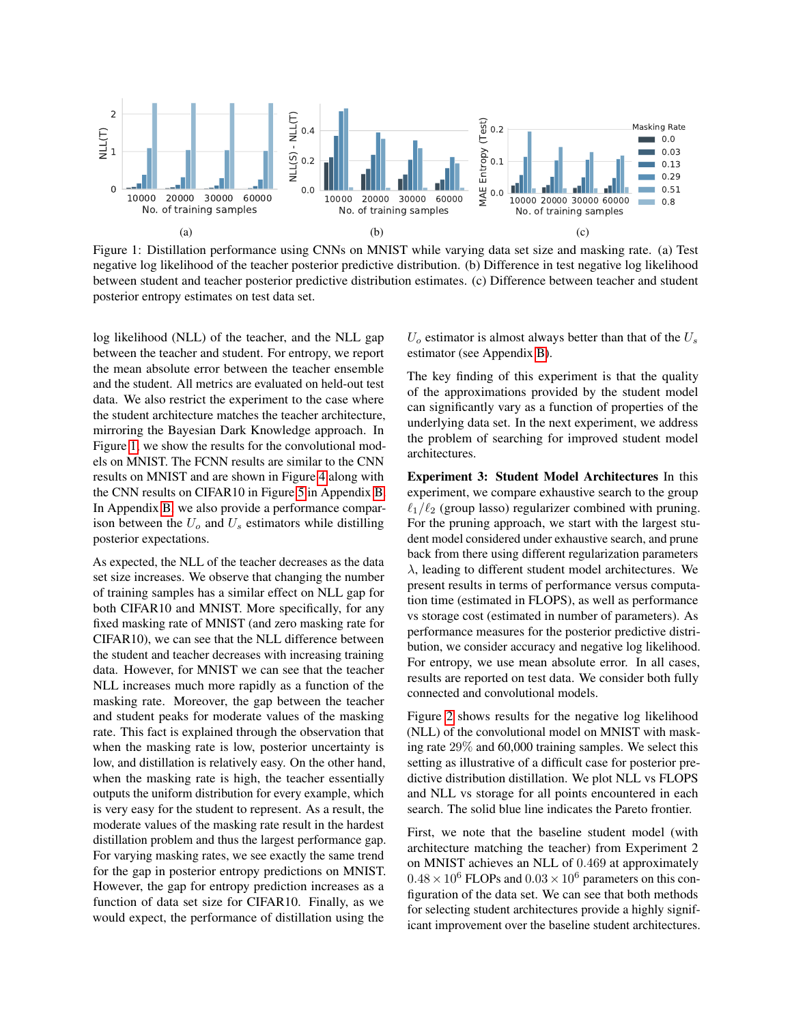

<span id="page-6-0"></span>Figure 1: Distillation performance using CNNs on MNIST while varying data set size and masking rate. (a) Test negative log likelihood of the teacher posterior predictive distribution. (b) Difference in test negative log likelihood between student and teacher posterior predictive distribution estimates. (c) Difference between teacher and student posterior entropy estimates on test data set.

log likelihood (NLL) of the teacher, and the NLL gap between the teacher and student. For entropy, we report the mean absolute error between the teacher ensemble and the student. All metrics are evaluated on held-out test data. We also restrict the experiment to the case where the student architecture matches the teacher architecture, mirroring the Bayesian Dark Knowledge approach. In Figure [1,](#page-6-0) we show the results for the convolutional models on MNIST. The FCNN results are similar to the CNN results on MNIST and are shown in Figure [4](#page-12-0) along with the CNN results on CIFAR10 in Figure [5](#page-12-1) in Appendix [B.](#page-13-0) In Appendix [B,](#page-13-0) we also provide a performance comparison between the  $U<sub>o</sub>$  and  $U<sub>s</sub>$  estimators while distilling posterior expectations.

As expected, the NLL of the teacher decreases as the data set size increases. We observe that changing the number of training samples has a similar effect on NLL gap for both CIFAR10 and MNIST. More specifically, for any fixed masking rate of MNIST (and zero masking rate for CIFAR10), we can see that the NLL difference between the student and teacher decreases with increasing training data. However, for MNIST we can see that the teacher NLL increases much more rapidly as a function of the masking rate. Moreover, the gap between the teacher and student peaks for moderate values of the masking rate. This fact is explained through the observation that when the masking rate is low, posterior uncertainty is low, and distillation is relatively easy. On the other hand, when the masking rate is high, the teacher essentially outputs the uniform distribution for every example, which is very easy for the student to represent. As a result, the moderate values of the masking rate result in the hardest distillation problem and thus the largest performance gap. For varying masking rates, we see exactly the same trend for the gap in posterior entropy predictions on MNIST. However, the gap for entropy prediction increases as a function of data set size for CIFAR10. Finally, as we would expect, the performance of distillation using the

 $U<sub>o</sub>$  estimator is almost always better than that of the  $U<sub>s</sub>$ estimator (see Appendix [B\)](#page-13-0).

The key finding of this experiment is that the quality of the approximations provided by the student model can significantly vary as a function of properties of the underlying data set. In the next experiment, we address the problem of searching for improved student model architectures.

Experiment 3: Student Model Architectures In this experiment, we compare exhaustive search to the group  $\ell_1/\ell_2$  (group lasso) regularizer combined with pruning. For the pruning approach, we start with the largest student model considered under exhaustive search, and prune back from there using different regularization parameters  $\lambda$ , leading to different student model architectures. We present results in terms of performance versus computation time (estimated in FLOPS), as well as performance vs storage cost (estimated in number of parameters). As performance measures for the posterior predictive distribution, we consider accuracy and negative log likelihood. For entropy, we use mean absolute error. In all cases, results are reported on test data. We consider both fully connected and convolutional models.

Figure [2](#page-7-0) shows results for the negative log likelihood (NLL) of the convolutional model on MNIST with masking rate 29% and 60,000 training samples. We select this setting as illustrative of a difficult case for posterior predictive distribution distillation. We plot NLL vs FLOPS and NLL vs storage for all points encountered in each search. The solid blue line indicates the Pareto frontier.

First, we note that the baseline student model (with architecture matching the teacher) from Experiment 2 on MNIST achieves an NLL of 0.469 at approximately  $0.48 \times 10^6$  FLOPs and  $0.03 \times 10^6$  parameters on this configuration of the data set. We can see that both methods for selecting student architectures provide a highly significant improvement over the baseline student architectures.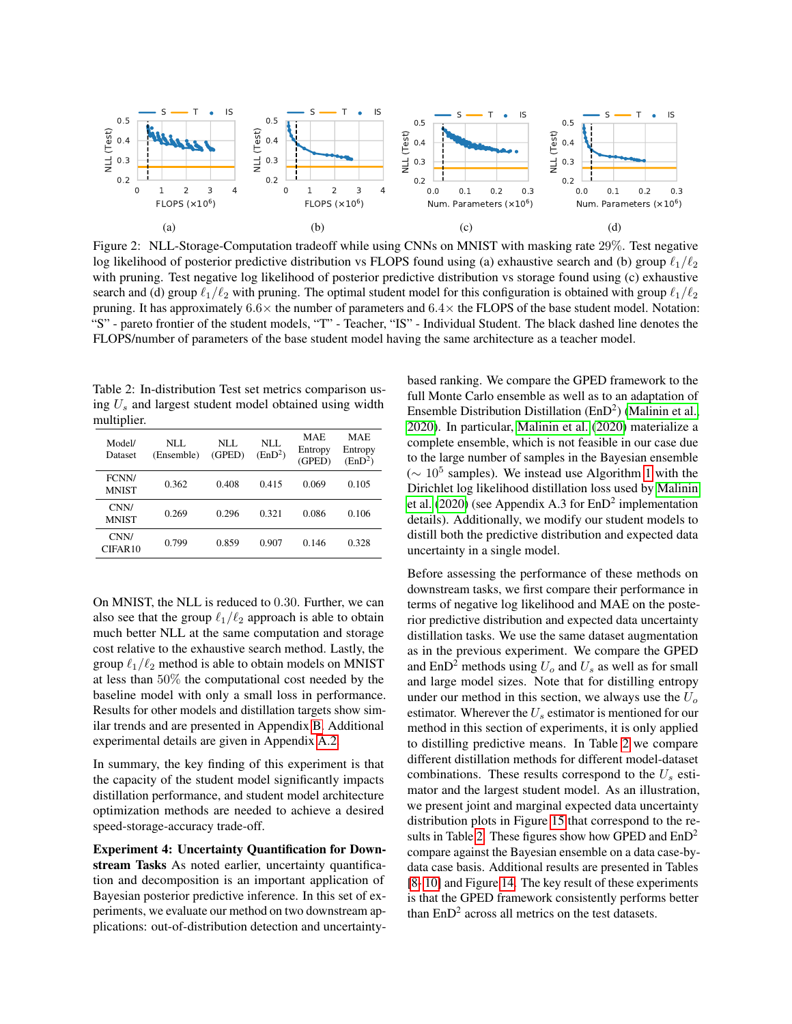

<span id="page-7-0"></span>Figure 2: NLL-Storage-Computation tradeoff while using CNNs on MNIST with masking rate 29%. Test negative log likelihood of posterior predictive distribution vs FLOPS found using (a) exhaustive search and (b) group  $\ell_1/\ell_2$ with pruning. Test negative log likelihood of posterior predictive distribution vs storage found using (c) exhaustive search and (d) group  $\ell_1/\ell_2$  with pruning. The optimal student model for this configuration is obtained with group  $\ell_1/\ell_2$ pruning. It has approximately  $6.6\times$  the number of parameters and  $6.4\times$  the FLOPS of the base student model. Notation: "S" - pareto frontier of the student models, "T" - Teacher, "IS" - Individual Student. The black dashed line denotes the FLOPS/number of parameters of the base student model having the same architecture as a teacher model.

<span id="page-7-1"></span>Table 2: In-distribution Test set metrics comparison using  $U_s$  and largest student model obtained using width multiplier.

| Model/<br>Dataset           | NLL<br>(Ensemble) | NLL<br>(GPED) | NLL.<br>(EnD <sup>2</sup> ) | <b>MAE</b><br>Entropy<br>(GPED) | <b>MAE</b><br>Entropy<br>(EnD <sup>2</sup> ) |
|-----------------------------|-------------------|---------------|-----------------------------|---------------------------------|----------------------------------------------|
| FCNN/<br><b>MNIST</b>       | 0.362             | 0.408         | 0.415                       | 0.069                           | 0.105                                        |
| CNN/<br><b>MNIST</b>        | 0.269             | 0.296         | 0.321                       | 0.086                           | 0.106                                        |
| CNN/<br>CIFAR <sub>10</sub> | 0.799             | 0.859         | 0.907                       | 0.146                           | 0.328                                        |

On MNIST, the NLL is reduced to 0.30. Further, we can also see that the group  $\ell_1/\ell_2$  approach is able to obtain much better NLL at the same computation and storage cost relative to the exhaustive search method. Lastly, the group  $\ell_1/\ell_2$  method is able to obtain models on MNIST at less than 50% the computational cost needed by the baseline model with only a small loss in performance. Results for other models and distillation targets show similar trends and are presented in Appendix [B.](#page-13-0) Additional experimental details are given in Appendix [A.2.](#page-11-0)

In summary, the key finding of this experiment is that the capacity of the student model significantly impacts distillation performance, and student model architecture optimization methods are needed to achieve a desired speed-storage-accuracy trade-off.

Experiment 4: Uncertainty Quantification for Downstream Tasks As noted earlier, uncertainty quantification and decomposition is an important application of Bayesian posterior predictive inference. In this set of experiments, we evaluate our method on two downstream applications: out-of-distribution detection and uncertaintybased ranking. We compare the GPED framework to the full Monte Carlo ensemble as well as to an adaptation of Ensemble Distribution Distillation  $(EnD<sup>2</sup>)$  [\(Malinin et al.,](#page-9-7) [2020\)](#page-9-7). In particular, [Malinin et al.](#page-9-7) [\(2020\)](#page-9-7) materialize a complete ensemble, which is not feasible in our case due to the large number of samples in the Bayesian ensemble  $($  ∼ [1](#page-10-0)0<sup>5</sup> samples). We instead use Algorithm 1 with the Dirichlet log likelihood distillation loss used by [Malinin](#page-9-7) [et al.](#page-9-7) [\(2020\)](#page-9-7) (see Appendix A.3 for EnD<sup>2</sup> implementation details). Additionally, we modify our student models to distill both the predictive distribution and expected data uncertainty in a single model.

Before assessing the performance of these methods on downstream tasks, we first compare their performance in terms of negative log likelihood and MAE on the posterior predictive distribution and expected data uncertainty distillation tasks. We use the same dataset augmentation as in the previous experiment. We compare the GPED and  $EnD<sup>2</sup>$  methods using  $U<sub>o</sub>$  and  $U<sub>s</sub>$  as well as for small and large model sizes. Note that for distilling entropy under our method in this section, we always use the  $U<sub>o</sub>$ estimator. Wherever the  $U_s$  estimator is mentioned for our method in this section of experiments, it is only applied to distilling predictive means. In Table [2](#page-7-1) we compare different distillation methods for different model-dataset combinations. These results correspond to the  $U_s$  estimator and the largest student model. As an illustration, we present joint and marginal expected data uncertainty distribution plots in Figure [15](#page-19-0) that correspond to the re-sults in Table [2.](#page-7-1) These figures show how GPED and  $EnD<sup>2</sup>$ compare against the Bayesian ensemble on a data case-bydata case basis. Additional results are presented in Tables [\[8-](#page-22-0) [10\]](#page-22-1) and Figure [14.](#page-18-0) The key result of these experiments is that the GPED framework consistently performs better than  $EnD<sup>2</sup>$  across all metrics on the test datasets.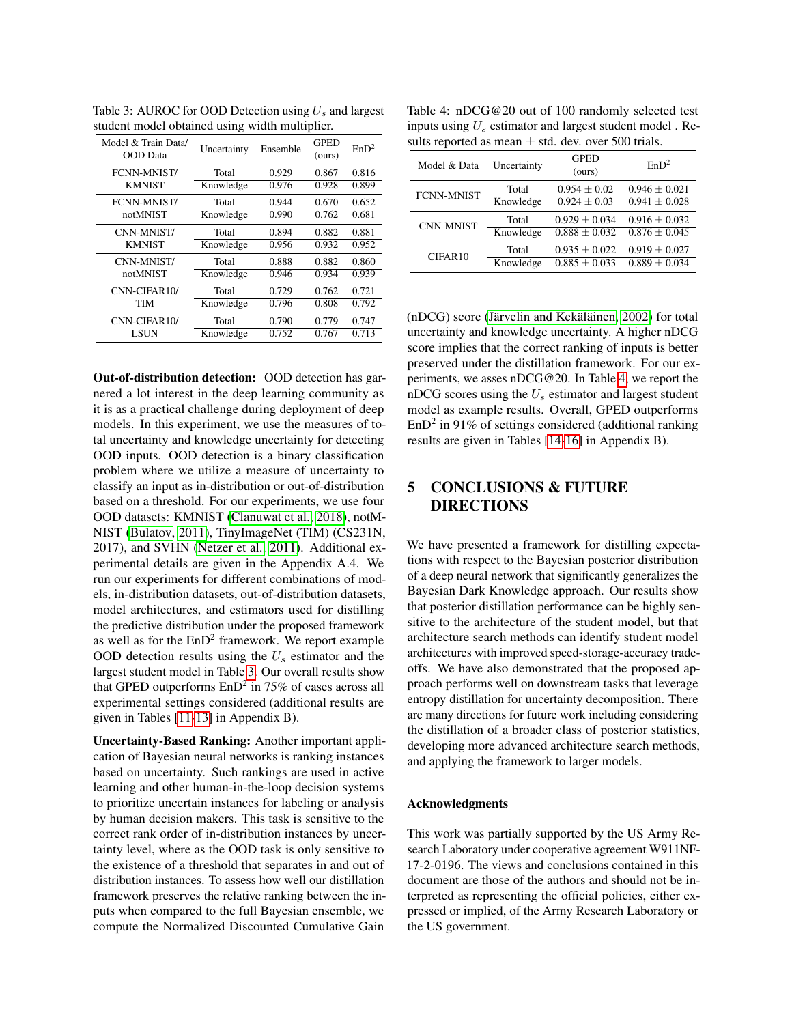|                                 | ັ           |          | ᅩ                     |                  |
|---------------------------------|-------------|----------|-----------------------|------------------|
| Model & Train Data/<br>OOD Data | Uncertainty | Ensemble | <b>GPED</b><br>(ours) | EnD <sup>2</sup> |
| <b>FCNN-MNIST/</b>              | Total       | 0.929    | 0.867                 | 0.816            |
| <b>KMNIST</b>                   | Knowledge   | 0.976    | 0.928                 | 0.899            |
| <b>FCNN-MNIST/</b>              | Total       | 0.944    | 0.670                 | 0.652            |
| notMNIST                        | Knowledge   | 0.990    | 0.762                 | 0.681            |
| CNN-MNIST/                      | Total       | 0.894    | 0.882                 | 0.881            |
| <b>KMNIST</b>                   | Knowledge   | 0.956    | 0.932                 | 0.952            |
| CNN-MNIST/                      | Total       | 0.888    | 0.882                 | 0.860            |
| notMNIST                        | Knowledge   | 0.946    | 0.934                 | 0.939            |
| CNN-CIFAR10/                    | Total       | 0.729    | 0.762                 | 0.721            |
| TIM                             | Knowledge   | 0.796    | 0.808                 | 0.792            |
| CNN-CIFAR10/                    | Total       | 0.790    | 0.779                 | 0.747            |
| LSUN                            | Knowledge   | 0.752    | 0.767                 | 0.713            |
|                                 |             |          |                       |                  |

<span id="page-8-0"></span>Table 3: AUROC for OOD Detection using  $U_s$  and largest student model obtained using width multiplier.

Out-of-distribution detection: OOD detection has garnered a lot interest in the deep learning community as it is as a practical challenge during deployment of deep models. In this experiment, we use the measures of total uncertainty and knowledge uncertainty for detecting OOD inputs. OOD detection is a binary classification problem where we utilize a measure of uncertainty to classify an input as in-distribution or out-of-distribution based on a threshold. For our experiments, we use four OOD datasets: KMNIST [\(Clanuwat et al., 2018\)](#page-9-30), notM-NIST [\(Bulatov, 2011\)](#page-9-31), TinyImageNet (TIM) (CS231N, 2017), and SVHN [\(Netzer et al., 2011\)](#page-9-32). Additional experimental details are given in the Appendix A.4. We run our experiments for different combinations of models, in-distribution datasets, out-of-distribution datasets, model architectures, and estimators used for distilling the predictive distribution under the proposed framework as well as for the  $EnD<sup>2</sup>$  framework. We report example OOD detection results using the  $U_s$  estimator and the largest student model in Table [3.](#page-8-0) Our overall results show that GPED outperforms  $EnD^2$  in 75% of cases across all experimental settings considered (additional results are given in Tables [\[11](#page-22-2)[-13\]](#page-22-3) in Appendix B).

Uncertainty-Based Ranking: Another important application of Bayesian neural networks is ranking instances based on uncertainty. Such rankings are used in active learning and other human-in-the-loop decision systems to prioritize uncertain instances for labeling or analysis by human decision makers. This task is sensitive to the correct rank order of in-distribution instances by uncertainty level, where as the OOD task is only sensitive to the existence of a threshold that separates in and out of distribution instances. To assess how well our distillation framework preserves the relative ranking between the inputs when compared to the full Bayesian ensemble, we compute the Normalized Discounted Cumulative Gain

<span id="page-8-1"></span>Table 4: nDCG@20 out of 100 randomly selected test inputs using  $U_s$  estimator and largest student model . Results reported as mean  $\pm$  std. dev. over 500 trials.

| Model & Data      | Uncertainty | <b>GPED</b><br>(ours) | EnD <sup>2</sup>  |
|-------------------|-------------|-----------------------|-------------------|
| <b>FCNN-MNIST</b> | Total       | $0.954 + 0.02$        | $0.946 + 0.021$   |
|                   | Knowledge   | $0.924 + 0.03$        | $0.941 \pm 0.028$ |
| <b>CNN-MNIST</b>  | Total       | $0.929 + 0.034$       | $0.916 + 0.032$   |
|                   | Knowledge   | $0.888 \pm 0.032$     | $0.876 \pm 0.045$ |
| CIFAR10           | Total       | $0.935 \pm 0.022$     | $0.919 \pm 0.027$ |
|                   | Knowledge   | $0.885 + 0.033$       | $0.889 + 0.034$   |

 $(nDCG)$  score (Järvelin and Kekäläinen, [2002\)](#page-9-33) for total uncertainty and knowledge uncertainty. A higher nDCG score implies that the correct ranking of inputs is better preserved under the distillation framework. For our experiments, we asses nDCG@20. In Table [4,](#page-8-1) we report the nDCG scores using the  $U_s$  estimator and largest student model as example results. Overall, GPED outperforms  $EnD<sup>2</sup>$  in 91% of settings considered (additional ranking results are given in Tables [\[14](#page-22-4)[-16\]](#page-23-0) in Appendix B).

# 5 CONCLUSIONS & FUTURE DIRECTIONS

We have presented a framework for distilling expectations with respect to the Bayesian posterior distribution of a deep neural network that significantly generalizes the Bayesian Dark Knowledge approach. Our results show that posterior distillation performance can be highly sensitive to the architecture of the student model, but that architecture search methods can identify student model architectures with improved speed-storage-accuracy tradeoffs. We have also demonstrated that the proposed approach performs well on downstream tasks that leverage entropy distillation for uncertainty decomposition. There are many directions for future work including considering the distillation of a broader class of posterior statistics, developing more advanced architecture search methods, and applying the framework to larger models.

#### Acknowledgments

This work was partially supported by the US Army Research Laboratory under cooperative agreement W911NF-17-2-0196. The views and conclusions contained in this document are those of the authors and should not be interpreted as representing the official policies, either expressed or implied, of the Army Research Laboratory or the US government.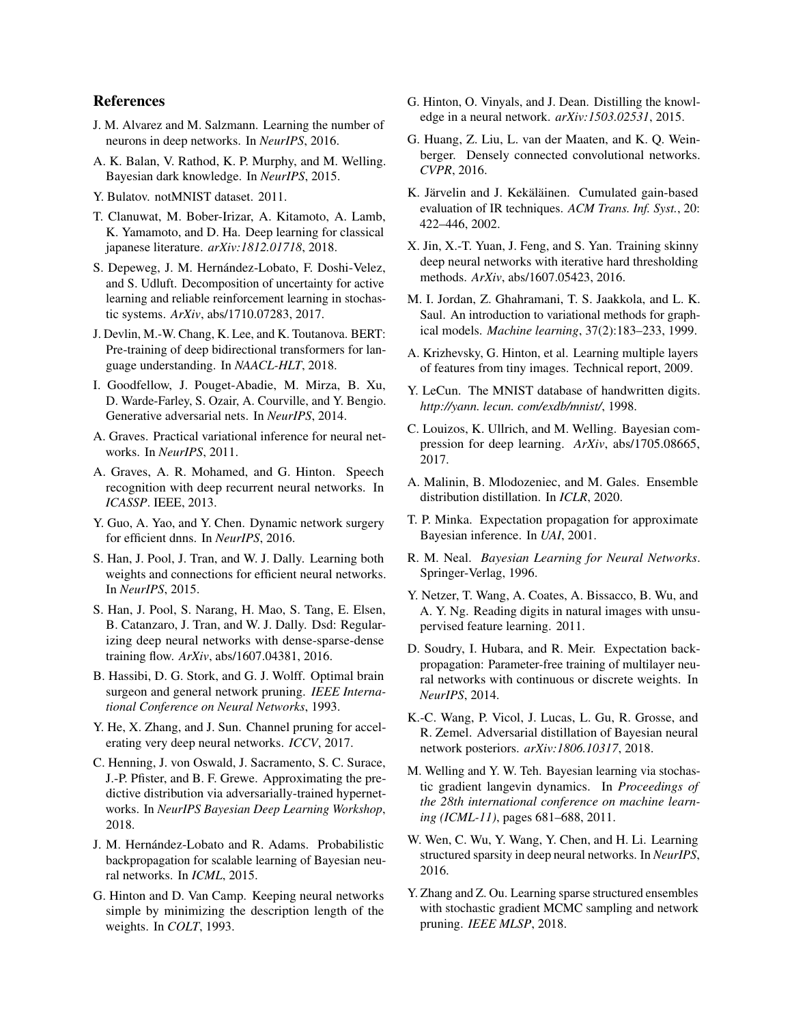# References

- <span id="page-9-24"></span>J. M. Alvarez and M. Salzmann. Learning the number of neurons in deep networks. In *NeurIPS*, 2016.
- <span id="page-9-5"></span>A. K. Balan, V. Rathod, K. P. Murphy, and M. Welling. Bayesian dark knowledge. In *NeurIPS*, 2015.
- <span id="page-9-31"></span>Y. Bulatov. notMNIST dataset. 2011.
- <span id="page-9-30"></span>T. Clanuwat, M. Bober-Irizar, A. Kitamoto, A. Lamb, K. Yamamoto, and D. Ha. Deep learning for classical japanese literature. *arXiv:1812.01718*, 2018.
- <span id="page-9-8"></span>S. Depeweg, J. M. Hernández-Lobato, F. Doshi-Velez, and S. Udluft. Decomposition of uncertainty for active learning and reliable reinforcement learning in stochastic systems. *ArXiv*, abs/1710.07283, 2017.
- <span id="page-9-2"></span>J. Devlin, M.-W. Chang, K. Lee, and K. Toutanova. BERT: Pre-training of deep bidirectional transformers for language understanding. In *NAACL-HLT*, 2018.
- <span id="page-9-16"></span>I. Goodfellow, J. Pouget-Abadie, M. Mirza, B. Xu, D. Warde-Farley, S. Ozair, A. Courville, and Y. Bengio. Generative adversarial nets. In *NeurIPS*, 2014.
- <span id="page-9-11"></span>A. Graves. Practical variational inference for neural networks. In *NeurIPS*, 2011.
- <span id="page-9-0"></span>A. Graves, A. R. Mohamed, and G. Hinton. Speech recognition with deep recurrent neural networks. In *ICASSP*. IEEE, 2013.
- <span id="page-9-20"></span>Y. Guo, A. Yao, and Y. Chen. Dynamic network surgery for efficient dnns. In *NeurIPS*, 2016.
- <span id="page-9-19"></span>S. Han, J. Pool, J. Tran, and W. J. Dally. Learning both weights and connections for efficient neural networks. In *NeurIPS*, 2015.
- <span id="page-9-22"></span>S. Han, J. Pool, S. Narang, H. Mao, S. Tang, E. Elsen, B. Catanzaro, J. Tran, and W. J. Dally. Dsd: Regularizing deep neural networks with dense-sparse-dense training flow. *ArXiv*, abs/1607.04381, 2016.
- <span id="page-9-18"></span>B. Hassibi, D. G. Stork, and G. J. Wolff. Optimal brain surgeon and general network pruning. *IEEE International Conference on Neural Networks*, 1993.
- <span id="page-9-26"></span>Y. He, X. Zhang, and J. Sun. Channel pruning for accelerating very deep neural networks. *ICCV*, 2017.
- <span id="page-9-17"></span>C. Henning, J. von Oswald, J. Sacramento, S. C. Surace, J.-P. Pfister, and B. F. Grewe. Approximating the predictive distribution via adversarially-trained hypernetworks. In *NeurIPS Bayesian Deep Learning Workshop*, 2018.
- <span id="page-9-14"></span>J. M. Hernández-Lobato and R. Adams. Probabilistic backpropagation for scalable learning of Bayesian neural networks. In *ICML*, 2015.
- <span id="page-9-10"></span>G. Hinton and D. Van Camp. Keeping neural networks simple by minimizing the description length of the weights. In *COLT*, 1993.
- <span id="page-9-15"></span>G. Hinton, O. Vinyals, and J. Dean. Distilling the knowledge in a neural network. *arXiv:1503.02531*, 2015.
- <span id="page-9-1"></span>G. Huang, Z. Liu, L. van der Maaten, and K. Q. Weinberger. Densely connected convolutional networks. *CVPR*, 2016.
- <span id="page-9-33"></span>K. Järvelin and J. Kekäläinen. Cumulated gain-based evaluation of IR techniques. *ACM Trans. Inf. Syst.*, 20: 422–446, 2002.
- <span id="page-9-21"></span>X. Jin, X.-T. Yuan, J. Feng, and S. Yan. Training skinny deep neural networks with iterative hard thresholding methods. *ArXiv*, abs/1607.05423, 2016.
- <span id="page-9-9"></span>M. I. Jordan, Z. Ghahramani, T. S. Jaakkola, and L. K. Saul. An introduction to variational methods for graphical models. *Machine learning*, 37(2):183–233, 1999.
- <span id="page-9-29"></span>A. Krizhevsky, G. Hinton, et al. Learning multiple layers of features from tiny images. Technical report, 2009.
- <span id="page-9-28"></span>Y. LeCun. The MNIST database of handwritten digits. *http://yann. lecun. com/exdb/mnist/*, 1998.
- <span id="page-9-27"></span>C. Louizos, K. Ullrich, and M. Welling. Bayesian compression for deep learning. *ArXiv*, abs/1705.08665, 2017.
- <span id="page-9-7"></span>A. Malinin, B. Mlodozeniec, and M. Gales. Ensemble distribution distillation. In *ICLR*, 2020.
- <span id="page-9-12"></span>T. P. Minka. Expectation propagation for approximate Bayesian inference. In *UAI*, 2001.
- <span id="page-9-3"></span>R. M. Neal. *Bayesian Learning for Neural Networks*. Springer-Verlag, 1996.
- <span id="page-9-32"></span>Y. Netzer, T. Wang, A. Coates, A. Bissacco, B. Wu, and A. Y. Ng. Reading digits in natural images with unsupervised feature learning. 2011.
- <span id="page-9-13"></span>D. Soudry, I. Hubara, and R. Meir. Expectation backpropagation: Parameter-free training of multilayer neural networks with continuous or discrete weights. In *NeurIPS*, 2014.
- <span id="page-9-6"></span>K.-C. Wang, P. Vicol, J. Lucas, L. Gu, R. Grosse, and R. Zemel. Adversarial distillation of Bayesian neural network posteriors. *arXiv:1806.10317*, 2018.
- <span id="page-9-4"></span>M. Welling and Y. W. Teh. Bayesian learning via stochastic gradient langevin dynamics. In *Proceedings of the 28th international conference on machine learning (ICML-11)*, pages 681–688, 2011.
- <span id="page-9-25"></span>W. Wen, C. Wu, Y. Wang, Y. Chen, and H. Li. Learning structured sparsity in deep neural networks. In *NeurIPS*, 2016.
- <span id="page-9-23"></span>Y. Zhang and Z. Ou. Learning sparse structured ensembles with stochastic gradient MCMC sampling and network pruning. *IEEE MLSP*, 2018.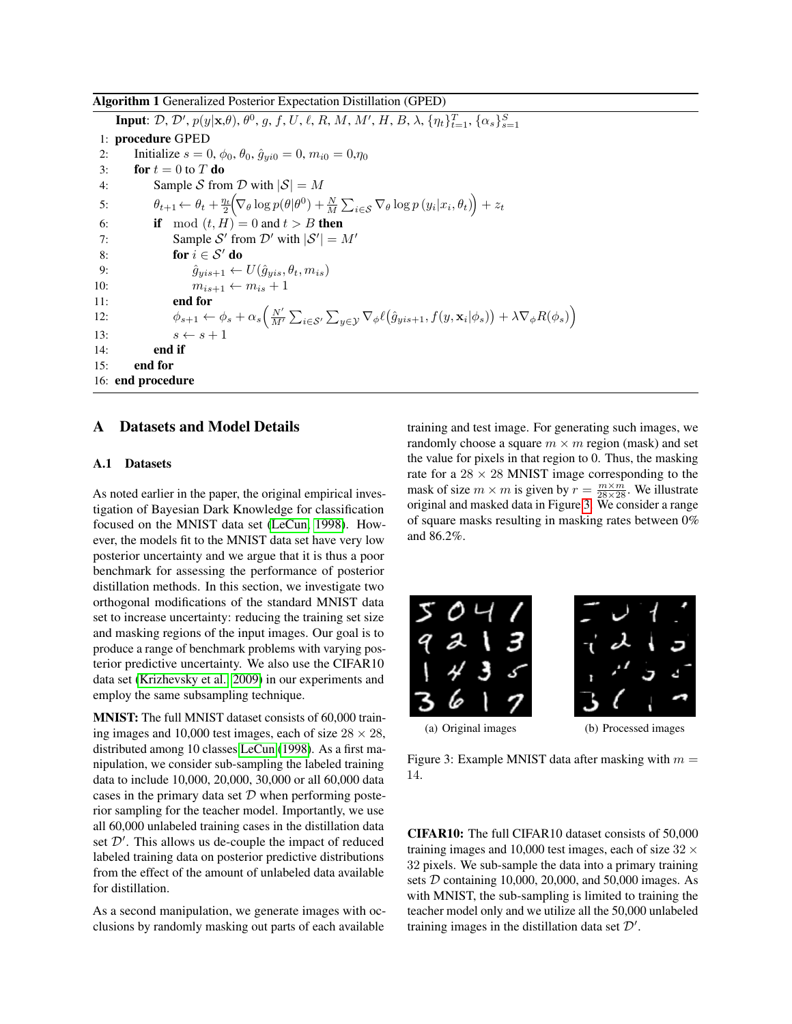<span id="page-10-0"></span>Algorithm 1 Generalized Posterior Expectation Distillation (GPED)

**Input**:  $\mathcal{D}, \mathcal{D}', p(y|\mathbf{x},\theta), \theta^0, g, f, U, \ell, R, M, M', H, B, \lambda, \{\eta_t\}_{t=1}^T, {\{\alpha_s\}_{s=1}^S}$ 1: procedure GPED 2: Initialize  $s = 0, \phi_0, \theta_0, \hat{g}_{vi0} = 0, m_{i0} = 0, \eta_0$ 3: for  $t = 0$  to T do 4: Sample S from D with  $|S| = M$ 5:  $\theta_{t+1} \leftarrow \theta_t + \frac{\eta_t}{2} \Big( \nabla_\theta \log p(\theta | \theta^0) + \frac{N}{M} \sum_{i \in \mathcal{S}} \nabla_\theta \log p(y_i | x_i, \theta_t) \Big) + z_t$ 6: **if** mod  $(t, H) = 0$  and  $t > B$  then 7: Sample S' from  $\mathcal{D}'$  with  $|\mathcal{S}'| = M'$ 8: for  $i \in S'$  do 9:  $\hat{g}_{yis+1} \leftarrow U(\hat{g}_{yis}, \theta_t, m_{is})$ 10:  $m_{is+1} \leftarrow m_{is} + 1$ 11: end for 12:  $\phi_{s+1} \leftarrow \phi_s + \alpha_s \left( \frac{N'}{M'} \sum_{i \in S'} \sum_{y \in \mathcal{Y}} \nabla_{\phi} \ell(\hat{g}_{yis+1}, f(y, \mathbf{x}_i | \phi_s)) + \lambda \nabla_{\phi} R(\phi_s) \right)$ 13:  $s \leftarrow s + 1$ 14: end if 15: end for 16: end procedure

### A Datasets and Model Details

#### <span id="page-10-1"></span>A.1 Datasets

As noted earlier in the paper, the original empirical investigation of Bayesian Dark Knowledge for classification focused on the MNIST data set [\(LeCun, 1998\)](#page-9-28). However, the models fit to the MNIST data set have very low posterior uncertainty and we argue that it is thus a poor benchmark for assessing the performance of posterior distillation methods. In this section, we investigate two orthogonal modifications of the standard MNIST data set to increase uncertainty: reducing the training set size and masking regions of the input images. Our goal is to produce a range of benchmark problems with varying posterior predictive uncertainty. We also use the CIFAR10 data set [\(Krizhevsky et al., 2009\)](#page-9-29) in our experiments and employ the same subsampling technique.

MNIST: The full MNIST dataset consists of 60,000 training images and 10,000 test images, each of size  $28 \times 28$ , distributed among 10 classes [LeCun](#page-9-28) [\(1998\)](#page-9-28). As a first manipulation, we consider sub-sampling the labeled training data to include 10,000, 20,000, 30,000 or all 60,000 data cases in the primary data set  $D$  when performing posterior sampling for the teacher model. Importantly, we use all 60,000 unlabeled training cases in the distillation data set  $\mathcal{D}'$ . This allows us de-couple the impact of reduced labeled training data on posterior predictive distributions from the effect of the amount of unlabeled data available for distillation.

As a second manipulation, we generate images with occlusions by randomly masking out parts of each available

training and test image. For generating such images, we randomly choose a square  $m \times m$  region (mask) and set the value for pixels in that region to 0. Thus, the masking rate for a  $28 \times 28$  MNIST image corresponding to the mask of size  $m \times m$  is given by  $r = \frac{m \times m}{28 \times 28}$ . We illustrate original and masked data in Figure [3.](#page-10-2) We consider a range of square masks resulting in masking rates between 0% and 86.2%.





<span id="page-10-2"></span>(a) Original images (b) Processed images

Figure 3: Example MNIST data after masking with  $m =$ 14.

CIFAR10: The full CIFAR10 dataset consists of 50,000 training images and 10,000 test images, each of size  $32 \times$ 32 pixels. We sub-sample the data into a primary training sets D containing 10,000, 20,000, and 50,000 images. As with MNIST, the sub-sampling is limited to training the teacher model only and we utilize all the 50,000 unlabeled training images in the distillation data set  $\mathcal{D}'$ .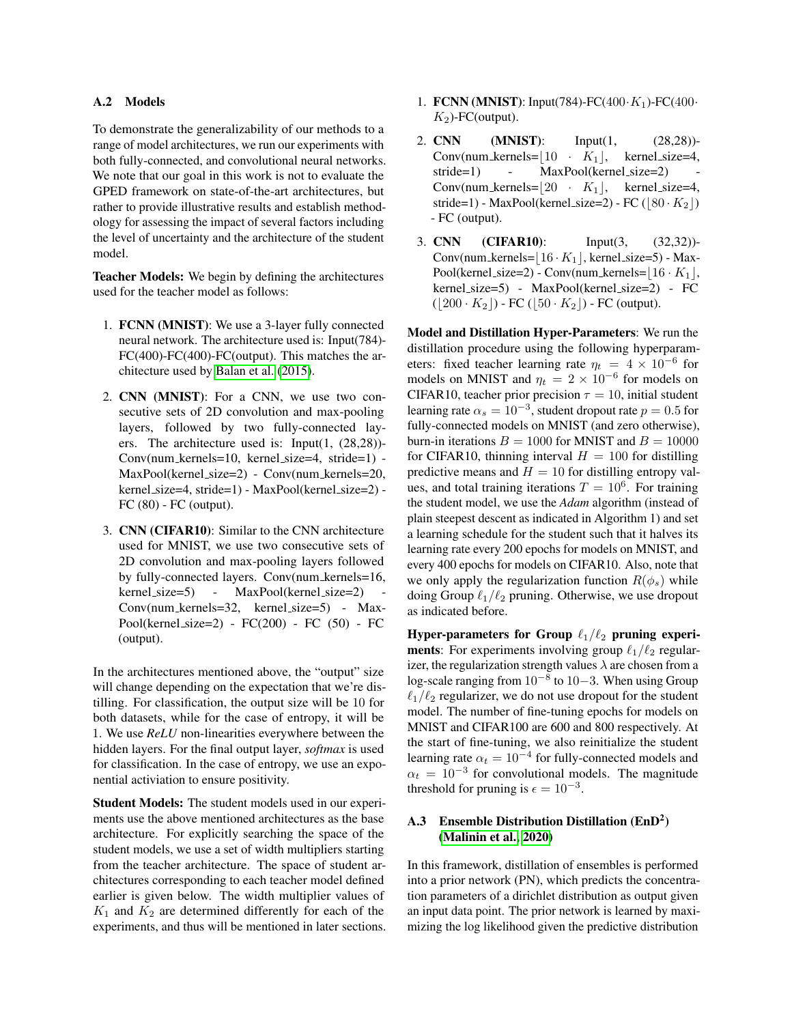#### <span id="page-11-0"></span>A.2 Models

To demonstrate the generalizability of our methods to a range of model architectures, we run our experiments with both fully-connected, and convolutional neural networks. We note that our goal in this work is not to evaluate the GPED framework on state-of-the-art architectures, but rather to provide illustrative results and establish methodology for assessing the impact of several factors including the level of uncertainty and the architecture of the student model.

Teacher Models: We begin by defining the architectures used for the teacher model as follows:

- 1. FCNN (MNIST): We use a 3-layer fully connected neural network. The architecture used is: Input(784)- FC(400)-FC(400)-FC(output). This matches the architecture used by [Balan et al.](#page-9-5) [\(2015\)](#page-9-5).
- 2. CNN (MNIST): For a CNN, we use two consecutive sets of 2D convolution and max-pooling layers, followed by two fully-connected layers. The architecture used is: Input(1, (28,28))- Conv(num kernels=10, kernel size=4, stride=1) - MaxPool(kernel\_size=2) - Conv(num\_kernels=20, kernel size=4, stride=1) - MaxPool(kernel size=2) - FC (80) - FC (output).
- 3. CNN (CIFAR10): Similar to the CNN architecture used for MNIST, we use two consecutive sets of 2D convolution and max-pooling layers followed by fully-connected layers. Conv(num kernels=16, kernel\_size=5) - MaxPool(kernel\_size=2) Conv(num kernels=32, kernel size=5) - Max-Pool(kernel size=2) - FC(200) - FC (50) - FC (output).

In the architectures mentioned above, the "output" size will change depending on the expectation that we're distilling. For classification, the output size will be 10 for both datasets, while for the case of entropy, it will be 1. We use *ReLU* non-linearities everywhere between the hidden layers. For the final output layer, *softmax* is used for classification. In the case of entropy, we use an exponential activiation to ensure positivity.

Student Models: The student models used in our experiments use the above mentioned architectures as the base architecture. For explicitly searching the space of the student models, we use a set of width multipliers starting from the teacher architecture. The space of student architectures corresponding to each teacher model defined earlier is given below. The width multiplier values of  $K_1$  and  $K_2$  are determined differently for each of the experiments, and thus will be mentioned in later sections.

- 1. FCNN (MNIST): Input(784)-FC(400 $\cdot$ K<sub>1</sub>)-FC(400 $\cdot$  $K_2$ )-FC(output).
- 2. **CNN** (**MNIST**): Input(1, (28,28))-Conv(num\_kernels= $|10 \cdot K_1|$ , kernel\_size=4, stride=1) - MaxPool(kernel\_size=2) Conv(num kernels= $|20 \cdot K_1|$ , kernel size=4, stride=1) - MaxPool(kernel\_size=2) - FC ( $\vert 80 \cdot K_2 \vert$ ) - FC (output).
- 3. CNN (CIFAR10): Input(3, (32,32))-  $Conv(num \text{-}kernels = \lfloor 16 \cdot K_1 \rfloor, \text{kernel\_size=5}) - \text{Max-}$ Pool(kernel\_size=2) - Conv(num\_kernels= $|16 \cdot K_1|$ , kernel size=5) - MaxPool(kernel size=2) - FC  $(|200 \cdot K_2|)$  - FC  $(|50 \cdot K_2|)$  - FC (output).

Model and Distillation Hyper-Parameters: We run the distillation procedure using the following hyperparameters: fixed teacher learning rate  $\eta_t = 4 \times 10^{-6}$  for models on MNIST and  $\eta_t = 2 \times 10^{-6}$  for models on CIFAR10, teacher prior precision  $\tau = 10$ , initial student learning rate  $\alpha_s = 10^{-3}$ , student dropout rate  $p = 0.5$  for fully-connected models on MNIST (and zero otherwise), burn-in iterations  $B = 1000$  for MNIST and  $B = 10000$ for CIFAR10, thinning interval  $H = 100$  for distilling predictive means and  $H = 10$  for distilling entropy values, and total training iterations  $T = 10^6$ . For training the student model, we use the *Adam* algorithm (instead of plain steepest descent as indicated in Algorithm 1) and set a learning schedule for the student such that it halves its learning rate every 200 epochs for models on MNIST, and every 400 epochs for models on CIFAR10. Also, note that we only apply the regularization function  $R(\phi_s)$  while doing Group  $\ell_1/\ell_2$  pruning. Otherwise, we use dropout as indicated before.

Hyper-parameters for Group  $\ell_1/\ell_2$  pruning experi**ments**: For experiments involving group  $\ell_1/\ell_2$  regularizer, the regularization strength values  $\lambda$  are chosen from a log-scale ranging from  $10^{-8}$  to  $10-3$ . When using Group  $\ell_1/\ell_2$  regularizer, we do not use dropout for the student model. The number of fine-tuning epochs for models on MNIST and CIFAR100 are 600 and 800 respectively. At the start of fine-tuning, we also reinitialize the student learning rate  $\alpha_t = 10^{-4}$  for fully-connected models and  $\alpha_t = 10^{-3}$  for convolutional models. The magnitude threshold for pruning is  $\epsilon = 10^{-3}$ .

# A.3 Ensemble Distribution Distillation (EnD<sup>2</sup>) [\(Malinin et al., 2020\)](#page-9-7)

In this framework, distillation of ensembles is performed into a prior network (PN), which predicts the concentration parameters of a dirichlet distribution as output given an input data point. The prior network is learned by maximizing the log likelihood given the predictive distribution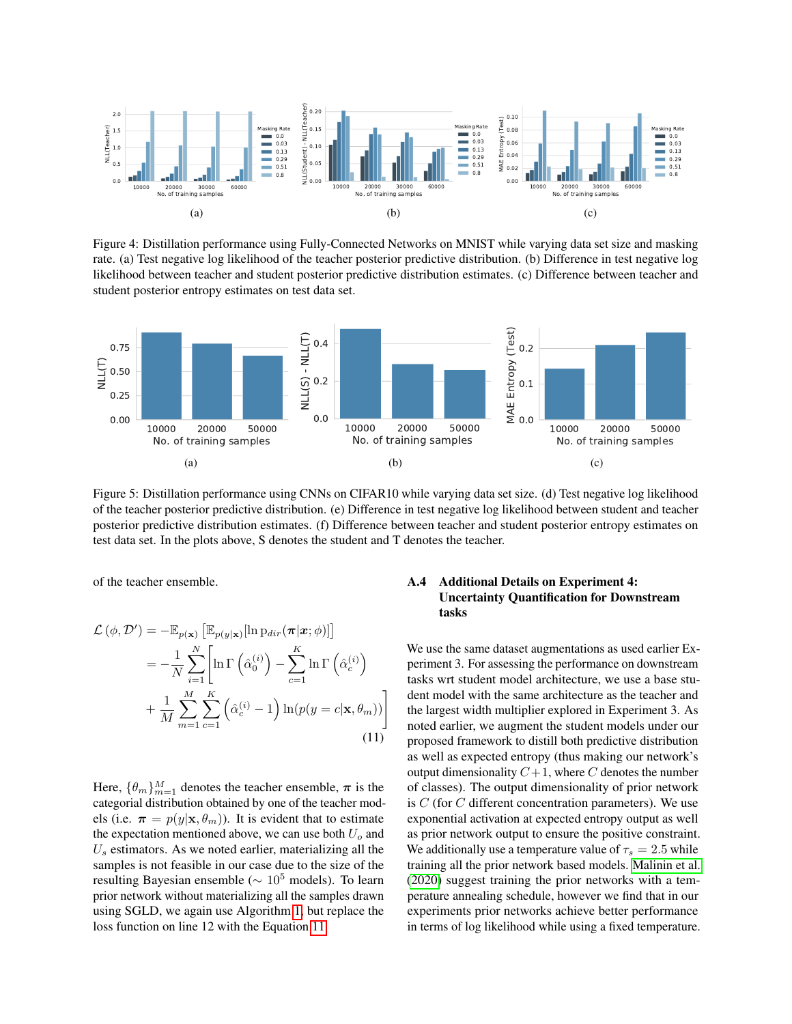

<span id="page-12-0"></span>Figure 4: Distillation performance using Fully-Connected Networks on MNIST while varying data set size and masking rate. (a) Test negative log likelihood of the teacher posterior predictive distribution. (b) Difference in test negative log likelihood between teacher and student posterior predictive distribution estimates. (c) Difference between teacher and student posterior entropy estimates on test data set.



<span id="page-12-1"></span>Figure 5: Distillation performance using CNNs on CIFAR10 while varying data set size. (d) Test negative log likelihood of the teacher posterior predictive distribution. (e) Difference in test negative log likelihood between student and teacher posterior predictive distribution estimates. (f) Difference between teacher and student posterior entropy estimates on test data set. In the plots above, S denotes the student and T denotes the teacher.

of the teacher ensemble.

$$
\mathcal{L}(\phi, \mathcal{D}') = -\mathbb{E}_{p(\mathbf{x})} \left[ \mathbb{E}_{p(y|\mathbf{x})} [\ln \mathrm{p}_{dir}(\boldsymbol{\pi}|\boldsymbol{x}; \phi)] \right]
$$
  
\n
$$
= -\frac{1}{N} \sum_{i=1}^{N} \left[ \ln \Gamma \left( \hat{\alpha}_0^{(i)} \right) - \sum_{c=1}^{K} \ln \Gamma \left( \hat{\alpha}_c^{(i)} \right) + \frac{1}{M} \sum_{m=1}^{M} \sum_{c=1}^{K} \left( \hat{\alpha}_c^{(i)} - 1 \right) \ln (p(y = c|\mathbf{x}, \theta_m)) \right]
$$
(11)

Here,  $\{\theta_m\}_{m=1}^M$  denotes the teacher ensemble,  $\pi$  is the categorial distribution obtained by one of the teacher models (i.e.  $\pi = p(y|\mathbf{x}, \theta_m)$ ). It is evident that to estimate the expectation mentioned above, we can use both  $U<sub>o</sub>$  and  $U<sub>s</sub>$  estimators. As we noted earlier, materializing all the samples is not feasible in our case due to the size of the resulting Bayesian ensemble ( $\sim 10^5$  models). To learn prior network without materializing all the samples drawn using SGLD, we again use Algorithm [1,](#page-10-0) but replace the loss function on line 12 with the Equation [11.](#page-12-2)

### A.4 Additional Details on Experiment 4: Uncertainty Quantification for Downstream tasks

<span id="page-12-2"></span>We use the same dataset augmentations as used earlier Experiment 3. For assessing the performance on downstream tasks wrt student model architecture, we use a base student model with the same architecture as the teacher and the largest width multiplier explored in Experiment 3. As noted earlier, we augment the student models under our proposed framework to distill both predictive distribution as well as expected entropy (thus making our network's output dimensionality  $C+1$ , where C denotes the number of classes). The output dimensionality of prior network is  $C$  (for  $C$  different concentration parameters). We use exponential activation at expected entropy output as well as prior network output to ensure the positive constraint. We additionally use a temperature value of  $\tau_s = 2.5$  while training all the prior network based models. [Malinin et al.](#page-9-7) [\(2020\)](#page-9-7) suggest training the prior networks with a temperature annealing schedule, however we find that in our experiments prior networks achieve better performance in terms of log likelihood while using a fixed temperature.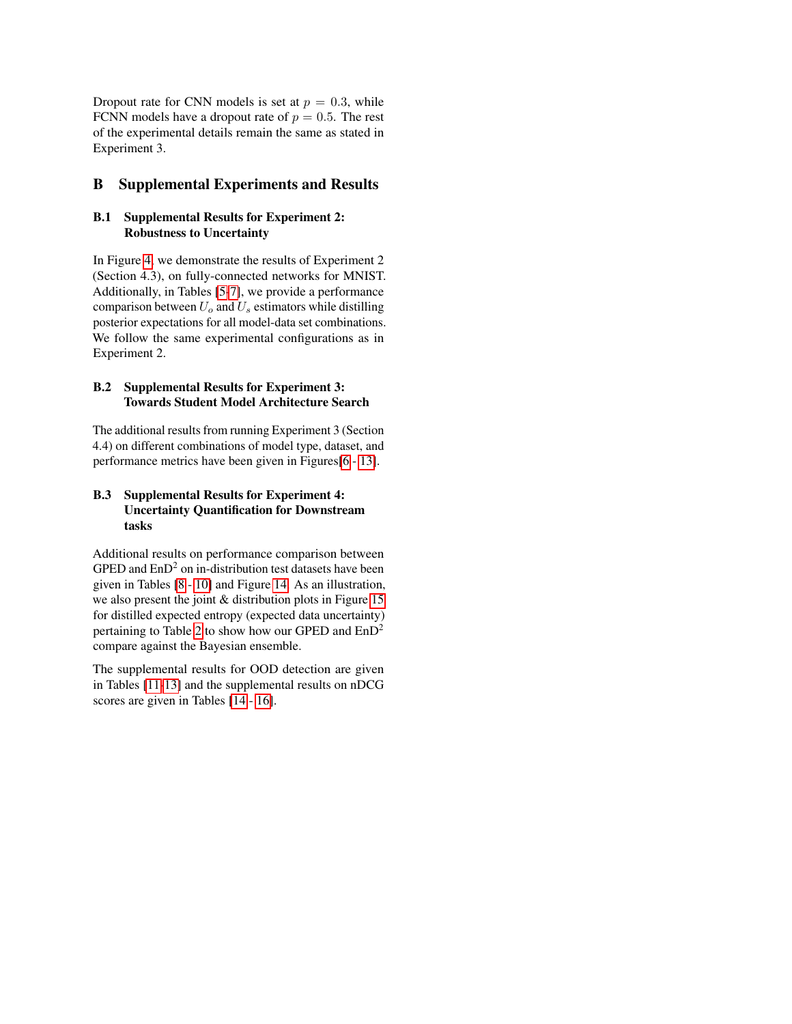Dropout rate for CNN models is set at  $p = 0.3$ , while FCNN models have a dropout rate of  $p = 0.5$ . The rest of the experimental details remain the same as stated in Experiment 3.

# <span id="page-13-0"></span>B Supplemental Experiments and Results

### B.1 Supplemental Results for Experiment 2: Robustness to Uncertainty

In Figure [4,](#page-12-0) we demonstrate the results of Experiment 2 (Section 4.3), on fully-connected networks for MNIST. Additionally, in Tables [\[5-](#page-20-0)[7\]](#page-21-0), we provide a performance comparison between  $U_0$  and  $U_s$  estimators while distilling posterior expectations for all model-data set combinations. We follow the same experimental configurations as in Experiment 2.

### B.2 Supplemental Results for Experiment 3: Towards Student Model Architecture Search

The additional results from running Experiment 3 (Section 4.4) on different combinations of model type, dataset, and performance metrics have been given in Figures[\[6](#page-14-0) - [13\]](#page-17-0).

# B.3 Supplemental Results for Experiment 4: Uncertainty Quantification for Downstream tasks

Additional results on performance comparison between GPED and  $EnD<sup>2</sup>$  on in-distribution test datasets have been given in Tables [\[8](#page-22-0) - [10\]](#page-22-1) and Figure [14.](#page-18-0) As an illustration, we also present the joint & distribution plots in Figure [15](#page-19-0) for distilled expected entropy (expected data uncertainty) pertaining to Table [2](#page-7-1) to show how our GPED and  $EnD<sup>2</sup>$ compare against the Bayesian ensemble.

The supplemental results for OOD detection are given in Tables [\[11-](#page-22-2)[13\]](#page-22-3) and the supplemental results on nDCG scores are given in Tables [\[14](#page-22-4) - [16\]](#page-23-0).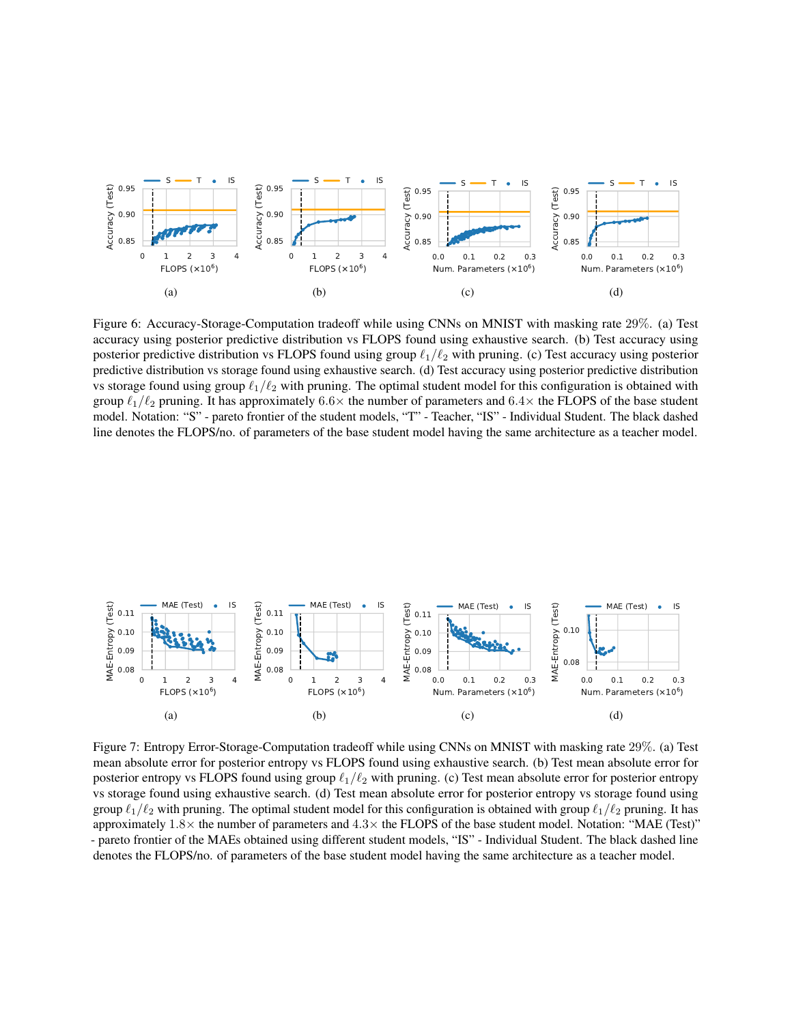

<span id="page-14-0"></span>Figure 6: Accuracy-Storage-Computation tradeoff while using CNNs on MNIST with masking rate 29%. (a) Test accuracy using posterior predictive distribution vs FLOPS found using exhaustive search. (b) Test accuracy using posterior predictive distribution vs FLOPS found using group  $\ell_1/\ell_2$  with pruning. (c) Test accuracy using posterior predictive distribution vs storage found using exhaustive search. (d) Test accuracy using posterior predictive distribution vs storage found using group  $\ell_1/\ell_2$  with pruning. The optimal student model for this configuration is obtained with group  $\ell_1/\ell_2$  pruning. It has approximately 6.6 $\times$  the number of parameters and 6.4 $\times$  the FLOPS of the base student model. Notation: "S" - pareto frontier of the student models, "T" - Teacher, "IS" - Individual Student. The black dashed line denotes the FLOPS/no. of parameters of the base student model having the same architecture as a teacher model.



Figure 7: Entropy Error-Storage-Computation tradeoff while using CNNs on MNIST with masking rate 29%. (a) Test mean absolute error for posterior entropy vs FLOPS found using exhaustive search. (b) Test mean absolute error for posterior entropy vs FLOPS found using group  $\ell_1/\ell_2$  with pruning. (c) Test mean absolute error for posterior entropy vs storage found using exhaustive search. (d) Test mean absolute error for posterior entropy vs storage found using group  $\ell_1/\ell_2$  with pruning. The optimal student model for this configuration is obtained with group  $\ell_1/\ell_2$  pruning. It has approximately  $1.8\times$  the number of parameters and  $4.3\times$  the FLOPS of the base student model. Notation: "MAE (Test)" - pareto frontier of the MAEs obtained using different student models, "IS" - Individual Student. The black dashed line denotes the FLOPS/no. of parameters of the base student model having the same architecture as a teacher model.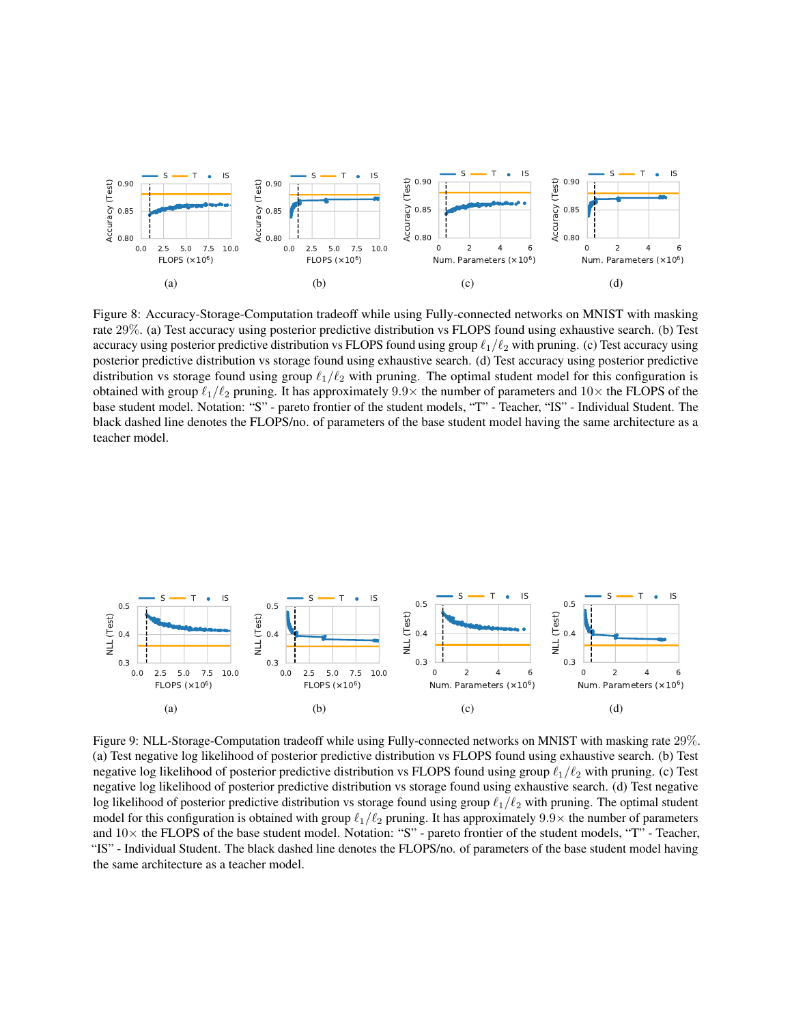

Figure 8: Accuracy-Storage-Computation tradeoff while using Fully-connected networks on MNIST with masking rate 29%. (a) Test accuracy using posterior predictive distribution vs FLOPS found using exhaustive search. (b) Test accuracy using posterior predictive distribution vs FLOPS found using group  $\ell_1/\ell_2$  with pruning. (c) Test accuracy using posterior predictive distribution vs storage found using exhaustive search. (d) Test accuracy using posterior predictive distribution vs storage found using group  $\ell_1/\ell_2$  with pruning. The optimal student model for this configuration is obtained with group  $\ell_1/\ell_2$  pruning. It has approximately 9.9× the number of parameters and 10× the FLOPS of the base student model. Notation: "S" - pareto frontier of the student models, "T" - Teacher, "IS" - Individual Student. The black dashed line denotes the FLOPS/no. of parameters of the base student model having the same architecture as a teacher model.



Figure 9: NLL-Storage-Computation tradeoff while using Fully-connected networks on MNIST with masking rate 29%. (a) Test negative log likelihood of posterior predictive distribution vs FLOPS found using exhaustive search. (b) Test negative log likelihood of posterior predictive distribution vs FLOPS found using group  $\ell_1/\ell_2$  with pruning. (c) Test negative log likelihood of posterior predictive distribution vs storage found using exhaustive search. (d) Test negative log likelihood of posterior predictive distribution vs storage found using group  $\ell_1/\ell_2$  with pruning. The optimal student model for this configuration is obtained with group  $\ell_1/\ell_2$  pruning. It has approximately 9.9× the number of parameters and  $10\times$  the FLOPS of the base student model. Notation: "S" - pareto frontier of the student models, "T" - Teacher, "IS" - Individual Student. The black dashed line denotes the FLOPS/no. of parameters of the base student model having the same architecture as a teacher model.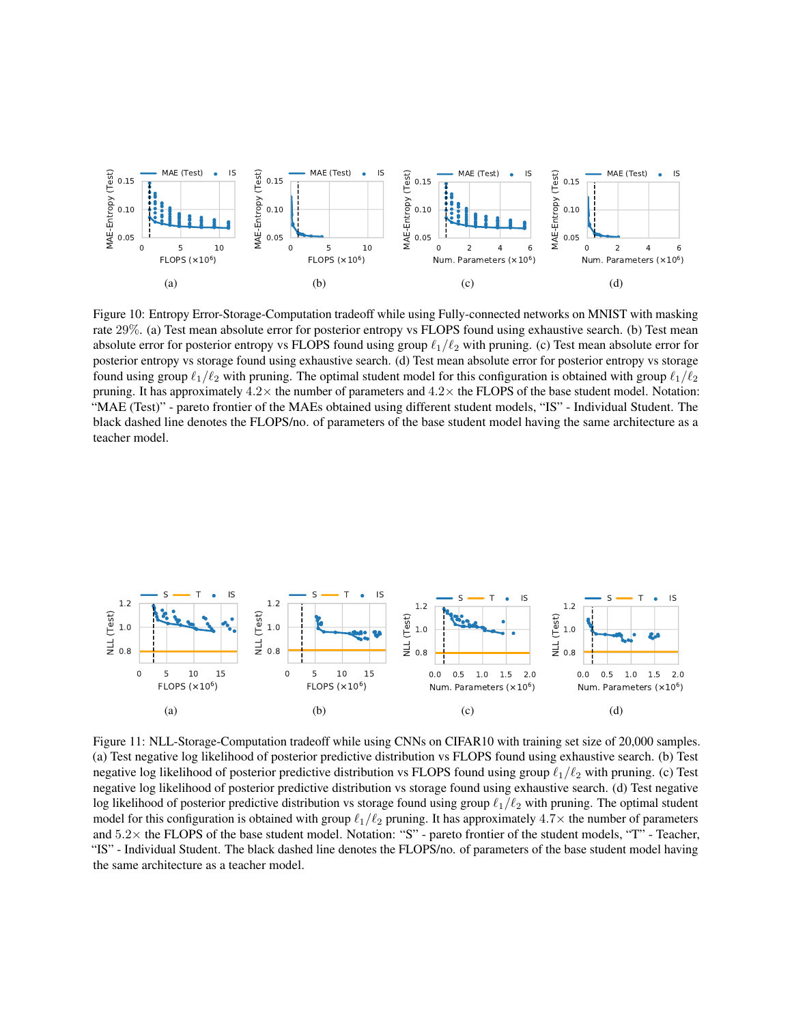

Figure 10: Entropy Error-Storage-Computation tradeoff while using Fully-connected networks on MNIST with masking rate 29%. (a) Test mean absolute error for posterior entropy vs FLOPS found using exhaustive search. (b) Test mean absolute error for posterior entropy vs FLOPS found using group  $\ell_1/\ell_2$  with pruning. (c) Test mean absolute error for posterior entropy vs storage found using exhaustive search. (d) Test mean absolute error for posterior entropy vs storage found using group  $\ell_1/\ell_2$  with pruning. The optimal student model for this configuration is obtained with group  $\ell_1/\ell_2$ pruning. It has approximately  $4.2\times$  the number of parameters and  $4.2\times$  the FLOPS of the base student model. Notation: "MAE (Test)" - pareto frontier of the MAEs obtained using different student models, "IS" - Individual Student. The black dashed line denotes the FLOPS/no. of parameters of the base student model having the same architecture as a teacher model.



Figure 11: NLL-Storage-Computation tradeoff while using CNNs on CIFAR10 with training set size of 20,000 samples. (a) Test negative log likelihood of posterior predictive distribution vs FLOPS found using exhaustive search. (b) Test negative log likelihood of posterior predictive distribution vs FLOPS found using group  $\ell_1/\ell_2$  with pruning. (c) Test negative log likelihood of posterior predictive distribution vs storage found using exhaustive search. (d) Test negative log likelihood of posterior predictive distribution vs storage found using group  $\ell_1/\ell_2$  with pruning. The optimal student model for this configuration is obtained with group  $\ell_1/\ell_2$  pruning. It has approximately 4.7× the number of parameters and 5.2× the FLOPS of the base student model. Notation: "S" - pareto frontier of the student models, "T" - Teacher, "IS" - Individual Student. The black dashed line denotes the FLOPS/no. of parameters of the base student model having the same architecture as a teacher model.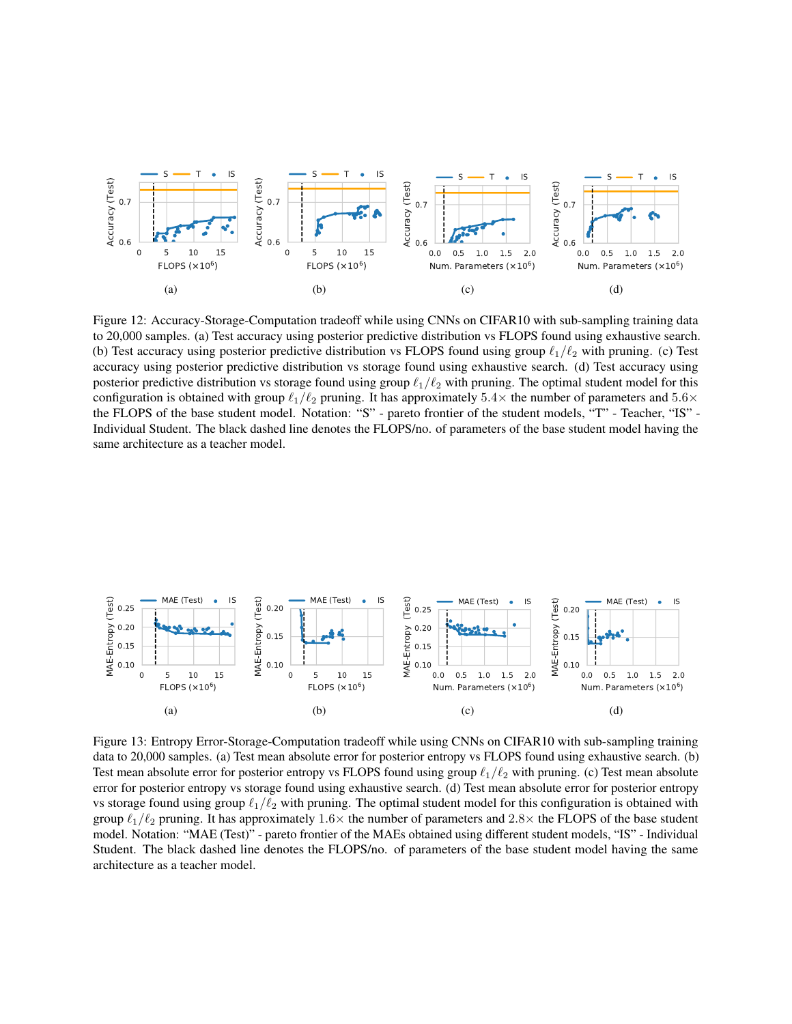

Figure 12: Accuracy-Storage-Computation tradeoff while using CNNs on CIFAR10 with sub-sampling training data to 20,000 samples. (a) Test accuracy using posterior predictive distribution vs FLOPS found using exhaustive search. (b) Test accuracy using posterior predictive distribution vs FLOPS found using group  $\ell_1/\ell_2$  with pruning. (c) Test accuracy using posterior predictive distribution vs storage found using exhaustive search. (d) Test accuracy using posterior predictive distribution vs storage found using group  $\ell_1/\ell_2$  with pruning. The optimal student model for this configuration is obtained with group  $\ell_1/\ell_2$  pruning. It has approximately 5.4× the number of parameters and 5.6× the FLOPS of the base student model. Notation: "S" - pareto frontier of the student models, "T" - Teacher, "IS" - Individual Student. The black dashed line denotes the FLOPS/no. of parameters of the base student model having the same architecture as a teacher model.



<span id="page-17-0"></span>Figure 13: Entropy Error-Storage-Computation tradeoff while using CNNs on CIFAR10 with sub-sampling training data to 20,000 samples. (a) Test mean absolute error for posterior entropy vs FLOPS found using exhaustive search. (b) Test mean absolute error for posterior entropy vs FLOPS found using group  $\ell_1/\ell_2$  with pruning. (c) Test mean absolute error for posterior entropy vs storage found using exhaustive search. (d) Test mean absolute error for posterior entropy vs storage found using group  $\ell_1/\ell_2$  with pruning. The optimal student model for this configuration is obtained with group  $\ell_1/\ell_2$  pruning. It has approximately 1.6× the number of parameters and 2.8× the FLOPS of the base student model. Notation: "MAE (Test)" - pareto frontier of the MAEs obtained using different student models, "IS" - Individual Student. The black dashed line denotes the FLOPS/no. of parameters of the base student model having the same architecture as a teacher model.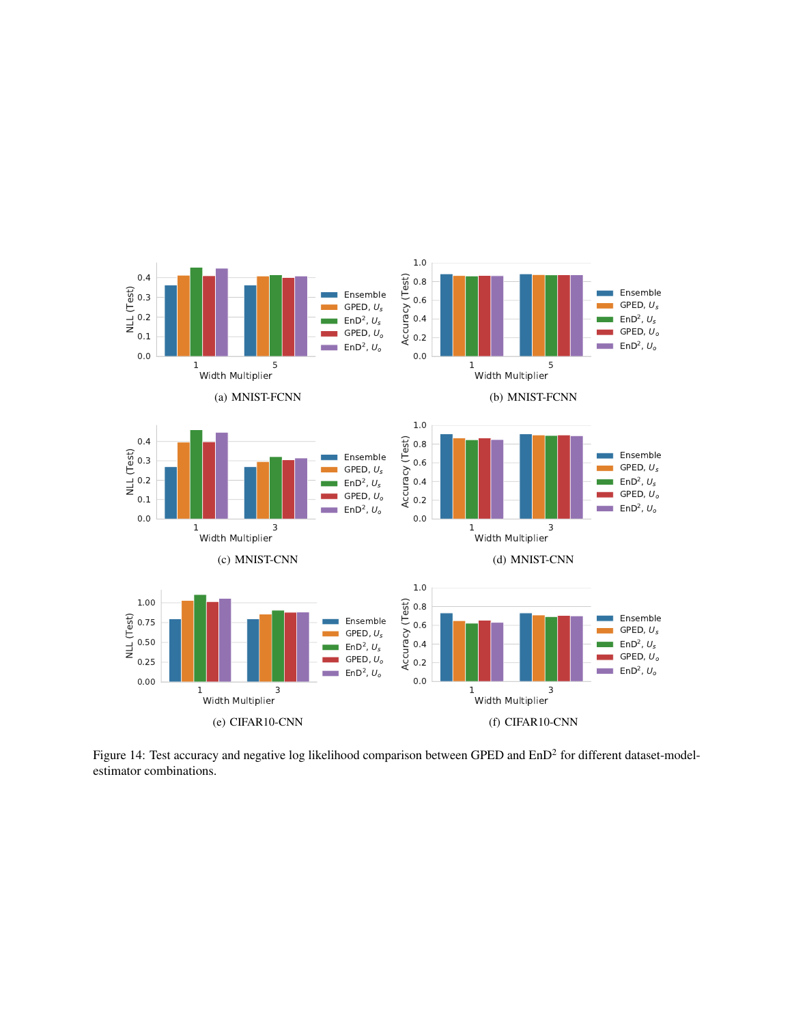

<span id="page-18-0"></span>Figure 14: Test accuracy and negative log likelihood comparison between GPED and  $EnD<sup>2</sup>$  for different dataset-modelestimator combinations.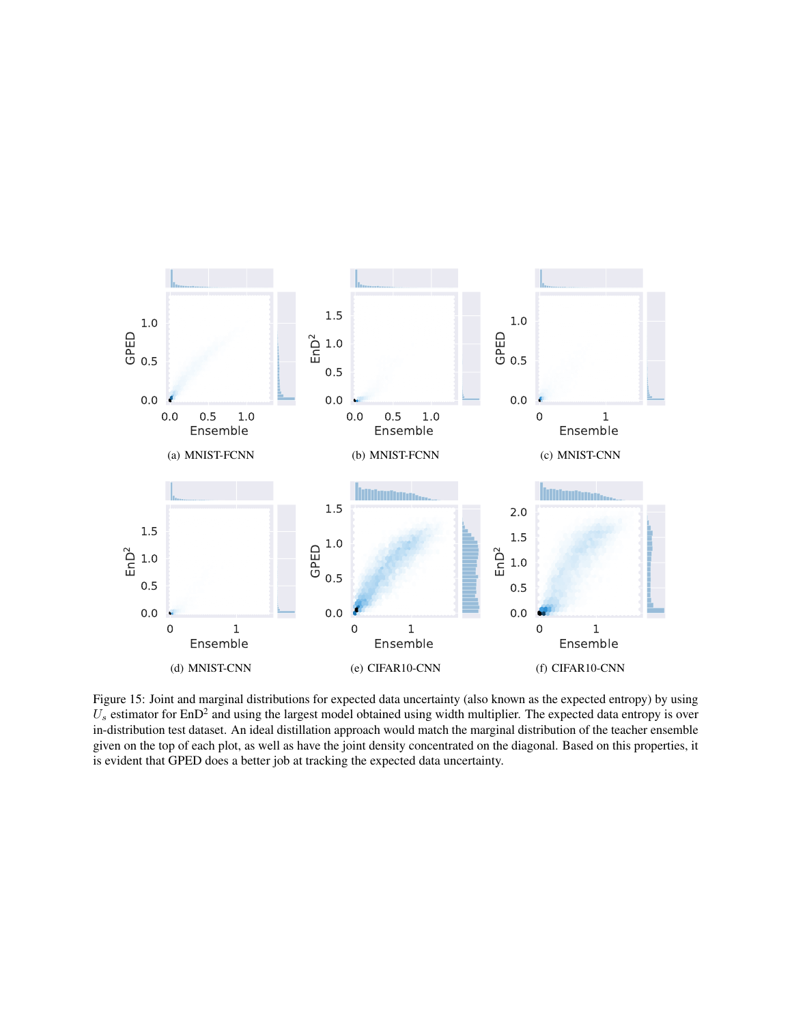

<span id="page-19-0"></span>Figure 15: Joint and marginal distributions for expected data uncertainty (also known as the expected entropy) by using  $U_s$  estimator for EnD<sup>2</sup> and using the largest model obtained using width multiplier. The expected data entropy is over in-distribution test dataset. An ideal distillation approach would match the marginal distribution of the teacher ensemble given on the top of each plot, as well as have the joint density concentrated on the diagonal. Based on this properties, it is evident that GPED does a better job at tracking the expected data uncertainty.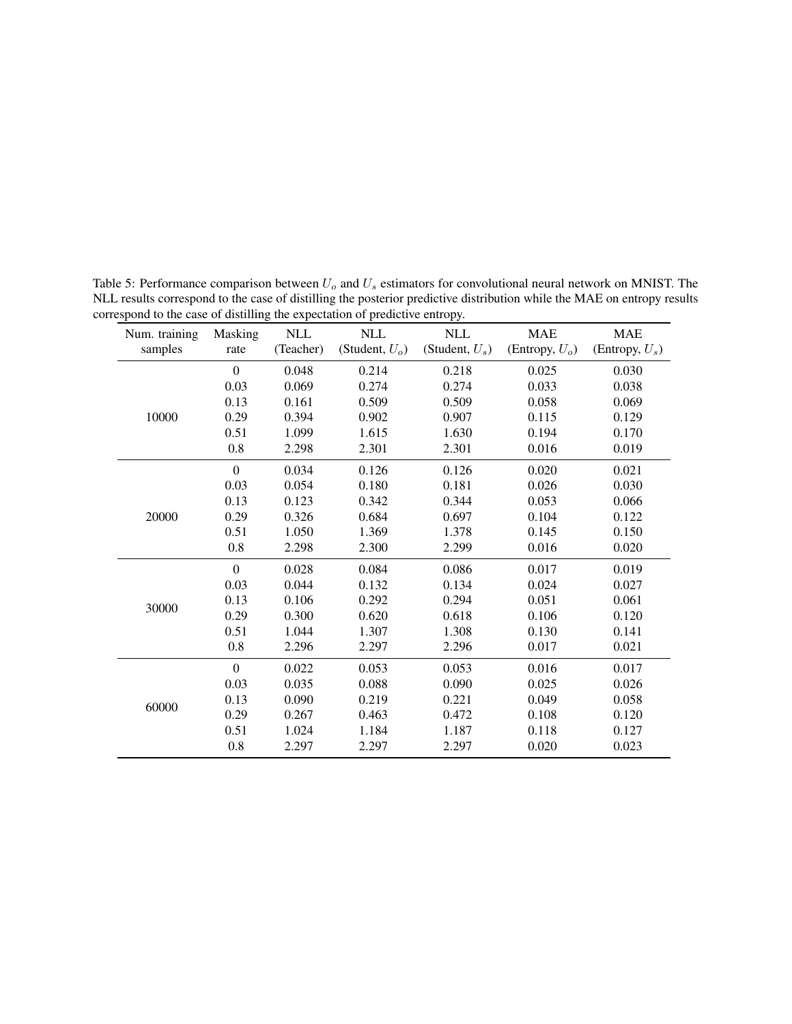| Num. training | Masking        | $\mbox{NLL}$ | $\mbox{NLL}$      | $\mbox{NLL}$      | <b>MAE</b>        | <b>MAE</b>        |
|---------------|----------------|--------------|-------------------|-------------------|-------------------|-------------------|
| samples       | rate           | (Teacher)    | (Student, $U_o$ ) | (Student, $U_s$ ) | (Entropy, $U_o$ ) | (Entropy, $U_s$ ) |
|               | $\overline{0}$ | 0.048        | 0.214             | 0.218             | 0.025             | 0.030             |
|               | 0.03           | 0.069        | 0.274             | 0.274             | 0.033             | 0.038             |
|               | 0.13           | 0.161        | 0.509             | 0.509             | 0.058             | 0.069             |
| 10000         | 0.29           | 0.394        | 0.902             | 0.907             | 0.115             | 0.129             |
|               | 0.51           | 1.099        | 1.615             | 1.630             | 0.194             | 0.170             |
|               | 0.8            | 2.298        | 2.301             | 2.301             | 0.016             | 0.019             |
|               | $\theta$       | 0.034        | 0.126             | 0.126             | 0.020             | 0.021             |
|               | 0.03           | 0.054        | 0.180             | 0.181             | 0.026             | 0.030             |
|               | 0.13           | 0.123        | 0.342             | 0.344             | 0.053             | 0.066             |
| 20000         | 0.29           | 0.326        | 0.684             | 0.697             | 0.104             | 0.122             |
|               | 0.51           | 1.050        | 1.369             | 1.378             | 0.145             | 0.150             |
|               | 0.8            | 2.298        | 2.300             | 2.299             | 0.016             | 0.020             |
|               | $\overline{0}$ | 0.028        | 0.084             | 0.086             | 0.017             | 0.019             |
|               | 0.03           | 0.044        | 0.132             | 0.134             | 0.024             | 0.027             |
| 30000         | 0.13           | 0.106        | 0.292             | 0.294             | 0.051             | 0.061             |
|               | 0.29           | 0.300        | 0.620             | 0.618             | 0.106             | 0.120             |
|               | 0.51           | 1.044        | 1.307             | 1.308             | 0.130             | 0.141             |
|               | $0.8\,$        | 2.296        | 2.297             | 2.296             | 0.017             | 0.021             |
|               | $\theta$       | 0.022        | 0.053             | 0.053             | 0.016             | 0.017             |
|               | 0.03           | 0.035        | 0.088             | 0.090             | 0.025             | 0.026             |
| 60000         | 0.13           | 0.090        | 0.219             | 0.221             | 0.049             | 0.058             |
|               | 0.29           | 0.267        | 0.463             | 0.472             | 0.108             | 0.120             |
|               | 0.51           | 1.024        | 1.184             | 1.187             | 0.118             | 0.127             |
|               | 0.8            | 2.297        | 2.297             | 2.297             | 0.020             | 0.023             |

<span id="page-20-0"></span>Table 5: Performance comparison between  $U_o$  and  $U_s$  estimators for convolutional neural network on MNIST. The NLL results correspond to the case of distilling the posterior predictive distribution while the MAE on entropy results correspond to the case of distilling the expectation of predictive entropy.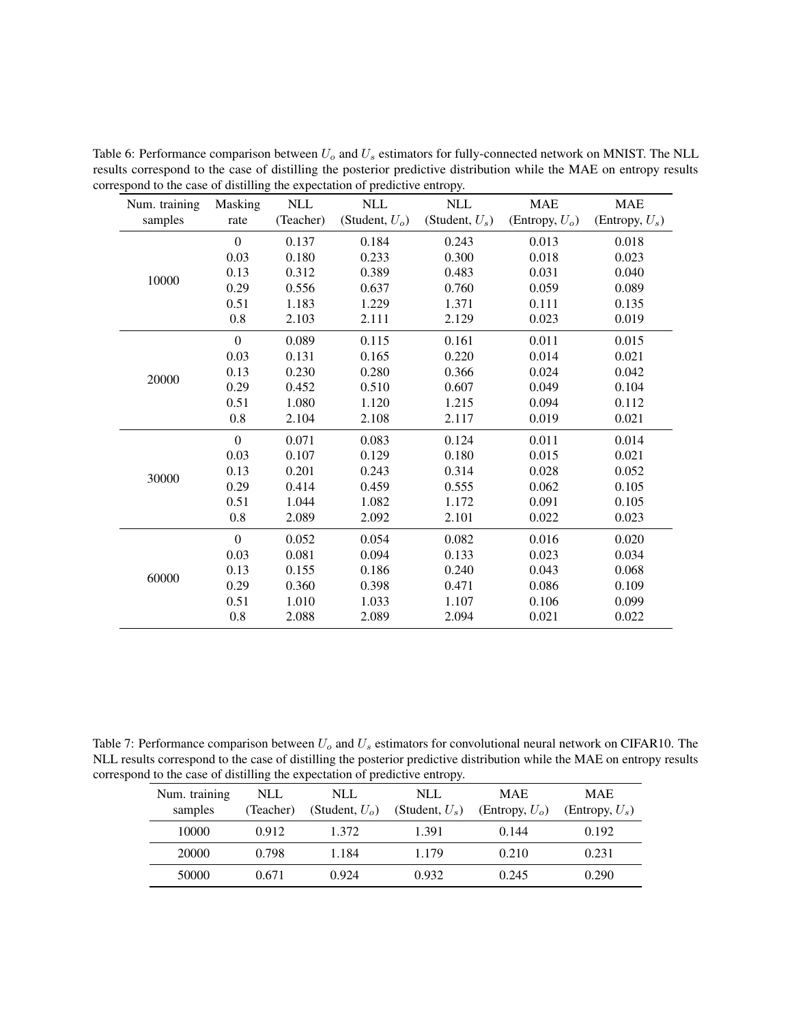|               |                |            |                   | . .               |                   |                   |
|---------------|----------------|------------|-------------------|-------------------|-------------------|-------------------|
| Num. training | Masking        | <b>NLL</b> | <b>NLL</b>        | <b>NLL</b>        | <b>MAE</b>        | <b>MAE</b>        |
| samples       | rate           | (Teacher)  | (Student, $U_o$ ) | (Student, $U_s$ ) | (Entropy, $U_o$ ) | (Entropy, $U_s$ ) |
|               | $\overline{0}$ | 0.137      | 0.184             | 0.243             | 0.013             | 0.018             |
|               | 0.03           | 0.180      | 0.233             | 0.300             | 0.018             | 0.023             |
| 10000         | 0.13           | 0.312      | 0.389             | 0.483             | 0.031             | 0.040             |
|               | 0.29           | 0.556      | 0.637             | 0.760             | 0.059             | 0.089             |
|               | 0.51           | 1.183      | 1.229             | 1.371             | 0.111             | 0.135             |
|               | 0.8            | 2.103      | 2.111             | 2.129             | 0.023             | 0.019             |
|               | $\overline{0}$ | 0.089      | 0.115             | 0.161             | 0.011             | 0.015             |
|               | 0.03           | 0.131      | 0.165             | 0.220             | 0.014             | 0.021             |
| 20000         | 0.13           | 0.230      | 0.280             | 0.366             | 0.024             | 0.042             |
|               | 0.29           | 0.452      | 0.510             | 0.607             | 0.049             | 0.104             |
|               | 0.51           | 1.080      | 1.120             | 1.215             | 0.094             | 0.112             |
|               | $0.8\,$        | 2.104      | 2.108             | 2.117             | 0.019             | 0.021             |
|               | $\mathbf{0}$   | 0.071      | 0.083             | 0.124             | 0.011             | 0.014             |
|               | 0.03           | 0.107      | 0.129             | 0.180             | 0.015             | 0.021             |
| 30000         | 0.13           | 0.201      | 0.243             | 0.314             | 0.028             | 0.052             |
|               | 0.29           | 0.414      | 0.459             | 0.555             | 0.062             | 0.105             |
|               | 0.51           | 1.044      | 1.082             | 1.172             | 0.091             | 0.105             |
|               | 0.8            | 2.089      | 2.092             | 2.101             | 0.022             | 0.023             |
|               | $\overline{0}$ | 0.052      | 0.054             | 0.082             | 0.016             | 0.020             |
|               | 0.03           | 0.081      | 0.094             | 0.133             | 0.023             | 0.034             |
| 60000         | 0.13           | 0.155      | 0.186             | 0.240             | 0.043             | 0.068             |
|               | 0.29           | 0.360      | 0.398             | 0.471             | 0.086             | 0.109             |
|               | 0.51           | 1.010      | 1.033             | 1.107             | 0.106             | 0.099             |
|               | 0.8            | 2.088      | 2.089             | 2.094             | 0.021             | 0.022             |
|               |                |            |                   |                   |                   |                   |

Table 6: Performance comparison between  $U_o$  and  $U_s$  estimators for fully-connected network on MNIST. The NLL results correspond to the case of distilling the posterior predictive distribution while the MAE on entropy results correspond to the case of distilling the expectation of predictive entropy.

<span id="page-21-0"></span>Table 7: Performance comparison between  $U_o$  and  $U_s$  estimators for convolutional neural network on CIFAR10. The NLL results correspond to the case of distilling the posterior predictive distribution while the MAE on entropy results correspond to the case of distilling the expectation of predictive entropy.

| Num. training<br>samples | NLL<br>(Teacher) | NLL<br>(Student, $U_o$ ) | NLL.<br>(Student, $U_s$ ) | <b>MAE</b><br>(Entropy, $U_o$ ) | <b>MAE</b><br>(Entropy, $U_s$ ) |
|--------------------------|------------------|--------------------------|---------------------------|---------------------------------|---------------------------------|
| 10000                    | 0.912            | 1.372                    | 1.391                     | 0.144                           | 0.192                           |
| 20000                    | 0.798            | 1.184                    | 1.179                     | 0.210                           | 0.231                           |
| 50000                    | 0.671            | 0.924                    | 0.932                     | 0.245                           | 0.290                           |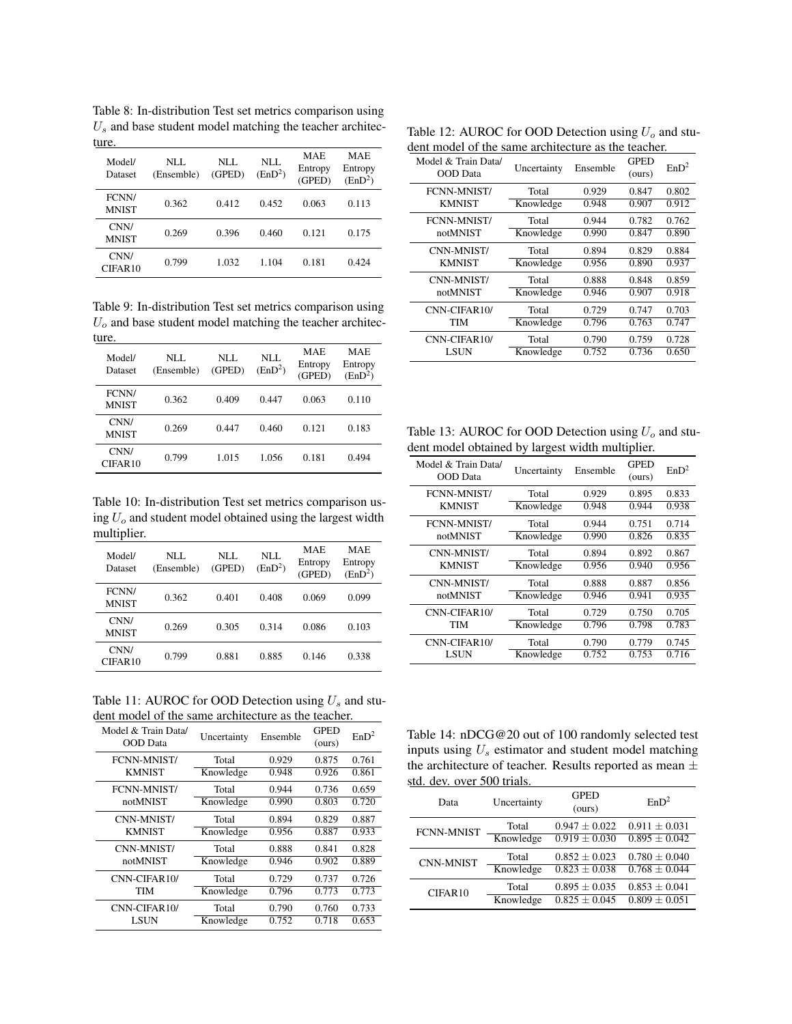<span id="page-22-0"></span>Table 8: In-distribution Test set metrics comparison using  $U_s$  and base student model matching the teacher architecture.

| Model/<br>Dataset     | NLL<br>(Ensemble) | NLL<br>(GPED) | NLL.<br>(EnD <sup>2</sup> ) | <b>MAE</b><br>Entropy<br>(GPED) | <b>MAE</b><br>Entropy<br>(EnD <sup>2</sup> ) |
|-----------------------|-------------------|---------------|-----------------------------|---------------------------------|----------------------------------------------|
| FCNN/<br><b>MNIST</b> | 0.362             | 0.412         | 0.452                       | 0.063                           | 0.113                                        |
| CNN/<br><b>MNIST</b>  | 0.269             | 0.396         | 0.460                       | 0.121                           | 0.175                                        |
| CNN/<br>CIFAR10       | 0.799             | 1.032         | 1.104                       | 0.181                           | 0.424                                        |

Table 9: In-distribution Test set metrics comparison using  $U<sub>o</sub>$  and base student model matching the teacher architecture.

| Model/<br>Dataset           | NLL<br>(Ensemble) | NLL<br>(GPED) | NLL.<br>(EnD <sup>2</sup> ) | <b>MAE</b><br>Entropy<br>(GPED) | MAE.<br>Entropy<br>(EnD <sup>2</sup> ) |
|-----------------------------|-------------------|---------------|-----------------------------|---------------------------------|----------------------------------------|
| FCNN/<br><b>MNIST</b>       | 0.362             | 0.409         | 0.447                       | 0.063                           | 0.110                                  |
| CNN/<br><b>MNIST</b>        | 0.269             | 0.447         | 0.460                       | 0.121                           | 0.183                                  |
| CNN/<br>CIFAR <sub>10</sub> | 0.799             | 1.015         | 1.056                       | 0.181                           | 0.494                                  |

<span id="page-22-1"></span>Table 10: In-distribution Test set metrics comparison using  $U<sub>o</sub>$  and student model obtained using the largest width multiplier.

| Model/<br>Dataset           | NLL<br>(Ensemble) | NLL<br>(GPED) | NLL<br>(EnD <sup>2</sup> ) | <b>MAE</b><br>Entropy<br>(GPED) | <b>MAE</b><br>Entropy<br>(EnD <sup>2</sup> ) |
|-----------------------------|-------------------|---------------|----------------------------|---------------------------------|----------------------------------------------|
| FCNN/<br><b>MNIST</b>       | 0.362             | 0.401         | 0.408                      | 0.069                           | 0.099                                        |
| CNN/<br><b>MNIST</b>        | 0.269             | 0.305         | 0.314                      | 0.086                           | 0.103                                        |
| CNN/<br>CIFAR <sub>10</sub> | 0.799             | 0.881         | 0.885                      | 0.146                           | 0.338                                        |

<span id="page-22-2"></span>Table 11: AUROC for OOD Detection using  $U_s$  and student model of the same architecture as the teacher.

| Model & Train Data/<br>OOD Data | Uncertainty | Ensemble | <b>GPED</b><br>(ours) | EnD <sup>2</sup> |
|---------------------------------|-------------|----------|-----------------------|------------------|
| <b>FCNN-MNIST/</b>              | Total       | 0.929    | 0.875                 | 0.761            |
| <b>KMNIST</b>                   | Knowledge   | 0.948    | 0.926                 | 0.861            |
| FCNN-MNIST/                     | Total       | 0.944    | 0.736                 | 0.659            |
| notMNIST                        | Knowledge   | 0.990    | 0.803                 | 0.720            |
| CNN-MNIST/                      | Total       | 0.894    | 0.829                 | 0.887            |
| <b>KMNIST</b>                   | Knowledge   | 0.956    | 0.887                 | 0.933            |
| CNN-MNIST/                      | Total       | 0.888    | 0.841                 | 0.828            |
| notMNIST                        | Knowledge   | 0.946    | 0.902                 | 0.889            |
| CNN-CIFAR10/                    | Total       | 0.729    | 0.737                 | 0.726            |
| TIM                             | Knowledge   | 0.796    | 0.773                 | 0.773            |
| CNN-CIFAR10/                    | Total       | 0.790    | 0.760                 | 0.733            |
| LSUN                            | Knowledge   | 0.752    | 0.718                 | 0.653            |

Table 12: AUROC for OOD Detection using  $U<sub>o</sub>$  and student model of the same architecture as the teacher.

| Model & Train Data/<br><b>OOD</b> Data | Uncertainty | Ensemble | <b>GPED</b><br>(ours) | EnD <sup>2</sup> |
|----------------------------------------|-------------|----------|-----------------------|------------------|
| FCNN-MNIST/                            | Total       | 0.929    | 0.847                 | 0.802            |
| <b>KMNIST</b>                          | Knowledge   | 0.948    | 0.907                 | 0.912            |
| FCNN-MNIST/                            | Total       | 0.944    | 0.782                 | 0.762            |
| notMNIST                               | Knowledge   | 0.990    | 0.847                 | 0.890            |
| CNN-MNIST/                             | Total       | 0.894    | 0.829                 | 0.884            |
| <b>KMNIST</b>                          | Knowledge   | 0.956    | 0.890                 | 0.937            |
| CNN-MNIST/                             | Total       | 0.888    | 0.848                 | 0.859            |
| notMNIST                               | Knowledge   | 0.946    | 0.907                 | 0.918            |
| CNN-CIFAR10/                           | Total       | 0.729    | 0.747                 | 0.703            |
| TIM                                    | Knowledge   | 0.796    | 0.763                 | 0.747            |
| CNN-CIFAR10/                           | Total       | 0.790    | 0.759                 | 0.728            |
| <b>LSUN</b>                            | Knowledge   | 0.752    | 0.736                 | 0.650            |

<span id="page-22-3"></span>Table 13: AUROC for OOD Detection using  $U<sub>o</sub>$  and student model obtained by largest width multiplier.

| Model & Train Data/<br><b>OOD</b> Data | Uncertainty | Ensemble | <b>GPED</b><br>(ours) | EnD <sup>2</sup> |
|----------------------------------------|-------------|----------|-----------------------|------------------|
| <b>FCNN-MNIST/</b>                     | Total       | 0.929    | 0.895                 | 0.833            |
| <b>KMNIST</b>                          | Knowledge   | 0.948    | 0.944                 | 0.938            |
| <b>FCNN-MNIST/</b>                     | Total       | 0.944    | 0.751                 | 0.714            |
| notMNIST                               | Knowledge   | 0.990    | 0.826                 | 0.835            |
| CNN-MNIST/                             | Total       | 0.894    | 0.892                 | 0.867            |
| <b>KMNIST</b>                          | Knowledge   | 0.956    | 0.940                 | 0.956            |
| CNN-MNIST/                             | Total       | 0.888    | 0.887                 | 0.856            |
| notMNIST                               | Knowledge   | 0.946    | 0.941                 | 0.935            |
| CNN-CIFAR10/                           | Total       | 0.729    | 0.750                 | 0.705            |
| TIM                                    | Knowledge   | 0.796    | 0.798                 | 0.783            |
| CNN-CIFAR10/                           | Total       | 0.790    | 0.779                 | 0.745            |
| <b>LSUN</b>                            | Knowledge   | 0.752    | 0.753                 | 0.716            |
|                                        |             |          |                       |                  |

<span id="page-22-4"></span>Table 14: nDCG@20 out of 100 randomly selected test inputs using  $U_s$  estimator and student model matching the architecture of teacher. Results reported as mean  $\pm$ std. dev. over 500 trials.  $\overline{\phantom{a}}$ 

| Data              | Uncertainty | <b>GPED</b><br>(ours) | EnD <sup>2</sup>             |
|-------------------|-------------|-----------------------|------------------------------|
| <b>FCNN-MNIST</b> | Total       | $0.947 \pm 0.022$     | $0.911 \pm 0.031$            |
|                   | Knowledge   | $0.919 \pm 0.030$     | $\overline{0.895} \pm 0.042$ |
| <b>CNN-MNIST</b>  | Total       | $0.852 + 0.023$       | $0.780 \pm 0.040$            |
|                   | Knowledge   | $0.823 \pm 0.038$     | $0.768 + 0.044$              |
| CIFAR10           | Total       | $0.895 + 0.035$       | $0.853 \pm 0.041$            |
|                   | Knowledge   | $0.825 + 0.045$       | $0.809 \pm 0.051$            |